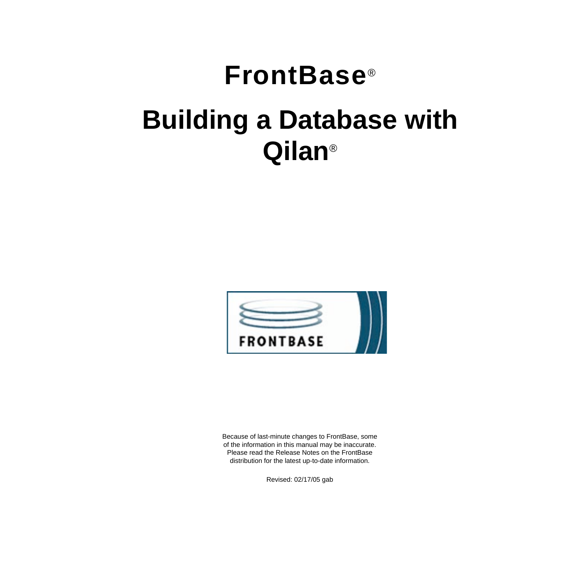# **FrontBase**® **Building a Database with Qilan**®



Because of last-minute changes to FrontBase, some of the information in this manual may be inaccurate. Please read the Release Notes on the FrontBase distribution for the latest up-to-date information.

Revised: 02/17/05 gab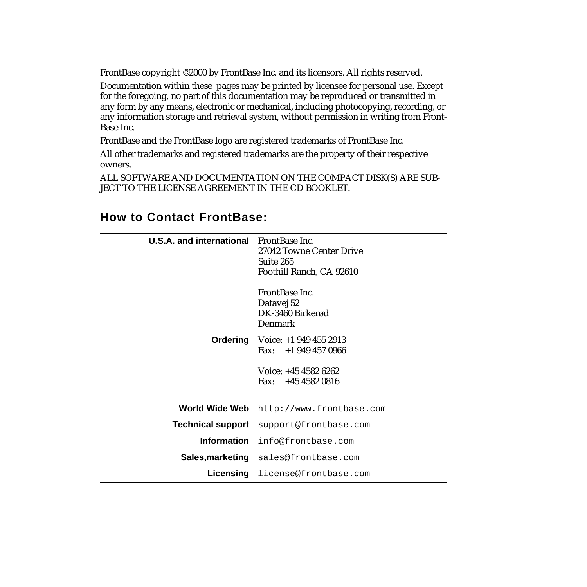FrontBase copyright ©2000 by FrontBase Inc. and its licensors. All rights reserved.

Documentation within these pages may be printed by licensee for personal use. Except for the foregoing, no part of this documentation may be reproduced or transmitted in any form by any means, electronic or mechanical, including photocopying, recording, or any information storage and retrieval system, without permission in writing from Front-Base Inc.

FrontBase and the FrontBase logo are registered trademarks of FrontBase Inc.

All other trademarks and registered trademarks are the property of their respective owners.

ALL SOFTWARE AND DOCUMENTATION ON THE COMPACT DISK(S) ARE SUB-JECT TO THE LICENSE AGREEMENT IN THE CD BOOKLET.

| <b>U.S.A. and international</b> FrontBase Inc. | 27042 Towne Center Drive<br>Suite 265<br>Foothill Ranch, CA 92610  |
|------------------------------------------------|--------------------------------------------------------------------|
|                                                | FrontBase Inc.<br>Datavej 52<br>DK-3460 Birkerød<br><b>Denmark</b> |
|                                                | <b>Ordering</b> Voice: $+19494552913$<br>Fax: $+19494570966$       |
|                                                |                                                                    |
|                                                | Voice: +45 4582 6262<br>Fax: $+4545820816$                         |
| World Wide Web                                 | http://www.frontbase.com                                           |
| <b>Technical support</b>                       | support@frontbase.com                                              |
| <b>Information</b>                             | info@frontbase.com                                                 |
|                                                | <b>Sales, marketing</b> sales@frontbase.com                        |

## **How to Contact FrontBase:**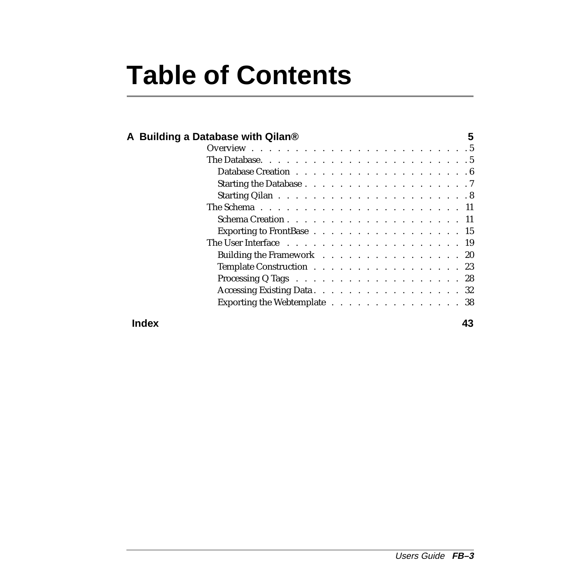# **Table of Contents**

|       | A Building a Database with Qilan®                                                                       | 5 |
|-------|---------------------------------------------------------------------------------------------------------|---|
|       |                                                                                                         |   |
|       |                                                                                                         |   |
|       |                                                                                                         |   |
|       |                                                                                                         |   |
|       | Starting Qilan $\ldots \ldots \ldots \ldots \ldots \ldots \ldots \ldots \ldots 8$                       |   |
|       | The Schema $\ldots$ $\ldots$ $\ldots$ $\ldots$ $\ldots$ $\ldots$ $\ldots$ $\ldots$ $\ldots$ $\ldots$ 11 |   |
|       | Schema Creation 11                                                                                      |   |
|       | Exporting to FrontBase $\ldots$ 15                                                                      |   |
|       |                                                                                                         |   |
|       | Building the Framework $\ldots$ 20                                                                      |   |
|       | Template Construction 23                                                                                |   |
|       | Processing Q Tags $\ldots$ $\ldots$ $\ldots$ $\ldots$ $\ldots$ $\ldots$ $\ldots$ 28                     |   |
|       | Accessing Existing Data. 32                                                                             |   |
|       | Exporting the Webtemplate 38                                                                            |   |
| Index | 43                                                                                                      |   |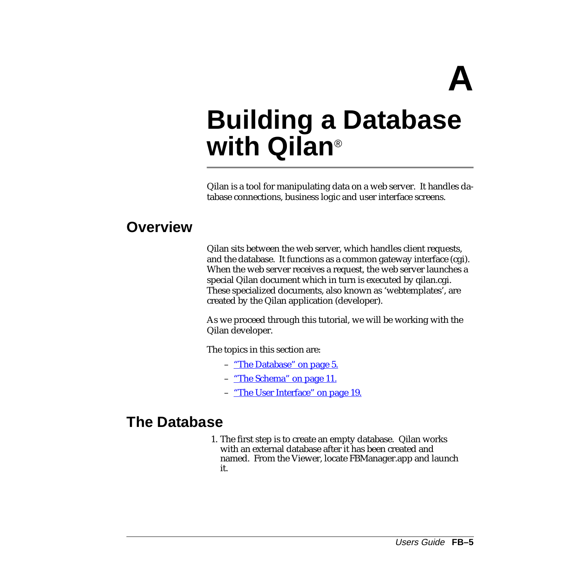**A**

## <span id="page-4-0"></span>**Building a Database with Qilan**®

Qilan is a tool for manipulating data on a web server. It handles database connections, business logic and user interface screens.

## **Overview**

Qilan sits between the web server, which handles client requests, and the database. It functions as a common gateway interface (cgi). When the web server receives a request, the web server launches a special Qilan document which in turn is executed by qilan.cgi. These specialized documents, also known as 'webtemplates', are created by the Qilan application (developer).

As we proceed through this tutorial, we will be working with the Qilan developer.

The topics in this section are:

- "The Database" on page 5.
- ["The Schema" on page 11.](#page-10-0)
- ["The User Interface" on page 19.](#page-18-0)

## **The Database**

1. The first step is to create an empty database. Qilan works with an external database after it has been created and named. From the Viewer, locate FBManager.app and launch it.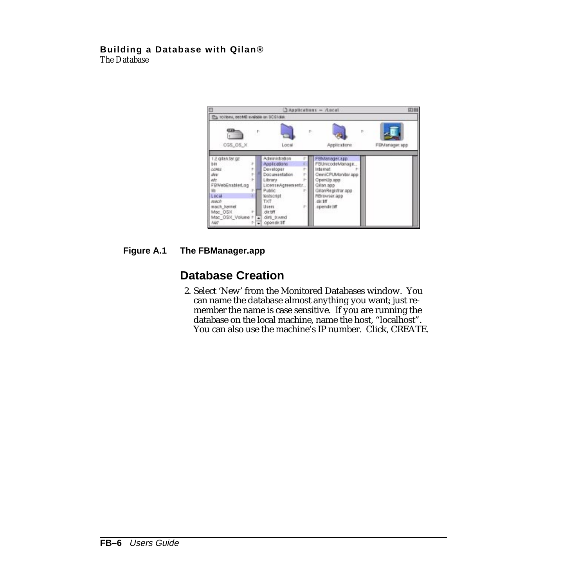<span id="page-5-0"></span>

#### **Figure A.1 The FBManager.app**

## **Database Creation**

2. Select 'New' from the Monitored Databases window. You can name the database almost anything you want; just remember the name is case sensitive. If you are running the database on the local machine, name the host, "localhost". You can also use the machine's IP number. Click, CREATE.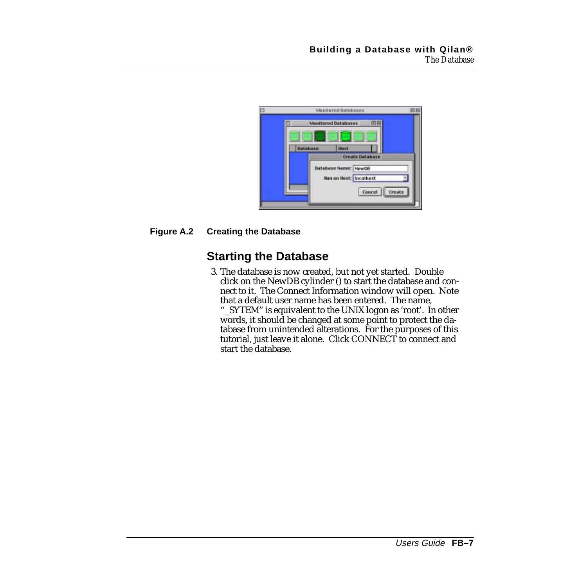<span id="page-6-0"></span>

| <b>Monitored Databases</b>                            |        |
|-------------------------------------------------------|--------|
| <b>Monitored Databases</b><br><b>COLLECTION</b>       |        |
| Host<br>Database<br><b>Create Database</b>            |        |
| Database Name: NewDB<br><b>Bun on Host:</b> locathost |        |
| Cancel                                                | Create |

#### **Figure A.2 Creating the Database**

## **Starting the Database**

3. The database is now created, but not yet started. Double click on the NewDB cylinder () to start the database and connect to it. The Connect Information window will open. Note that a default user name has been entered. The name, "\_SYTEM" is equivalent to the UNIX logon as 'root'. In other

words, it should be changed at some point to protect the database from unintended alterations. For the purposes of this tutorial, just leave it alone. Click CONNECT to connect and start the database.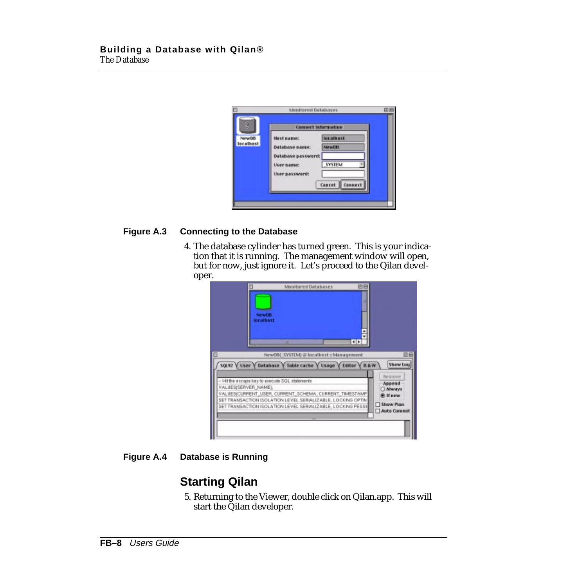<span id="page-7-0"></span>

#### **Figure A.3 Connecting to the Database**

4. The database cylinder has turned green. This is your indication that it is running. The management window will open, but for now, just ignore it. Let's proceed to the Qilan developer.

|                      | 四日<br><b>Monitored Databases</b>                                                                                                                                                                                                                                                                          |                                                                                          |
|----------------------|-----------------------------------------------------------------------------------------------------------------------------------------------------------------------------------------------------------------------------------------------------------------------------------------------------------|------------------------------------------------------------------------------------------|
|                      | п<br>New DB<br>localhost<br>$\bullet$<br>NewDB(_SYSTEM) @ locathost :: Management                                                                                                                                                                                                                         | 四日                                                                                       |
| VALUES(SERVER NAME); | SQL92 V User V Database V Table cache V Usage V Editor V B & W<br>- Hit the escape key to execute SGL statements<br>VALUES(CURRENT_USER, CURRENT_SCHEMA, CURRENT_TIMESTAMP<br>SET TRANSACTION ISOLATION LEVEL SERIALIZABLE, LOCKING OPTIM<br>SET TRANSACTION ISOLATION LEVEL SERIALIZABLE, LOCKING PESSIE | <b>Show Log</b><br>Remove<br>Append<br>C Abways<br>il If new<br>Show Plan<br>Auto Commit |

**Figure A.4 Database is Running**

## **Starting Qilan**

5. Returning to the Viewer, double click on Qilan.app. This will start the Qilan developer.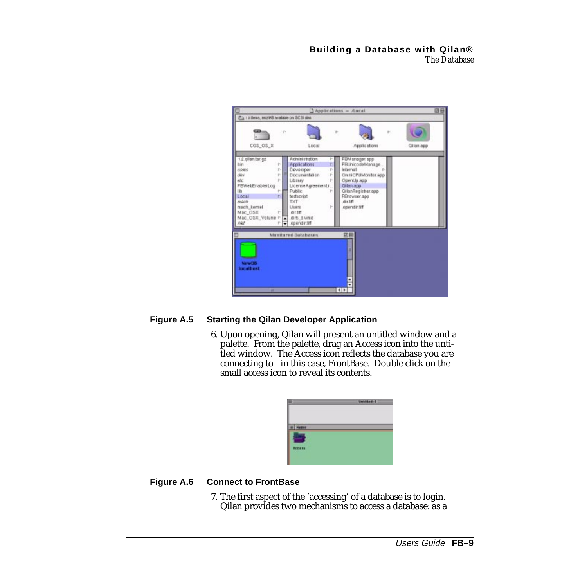|                                                                                                                                                         | Applications - Apral                                                                                                                                                                                                                                                                                                                                                                                                            | 四日        |
|---------------------------------------------------------------------------------------------------------------------------------------------------------|---------------------------------------------------------------------------------------------------------------------------------------------------------------------------------------------------------------------------------------------------------------------------------------------------------------------------------------------------------------------------------------------------------------------------------|-----------|
| Pa 10 Bres, and MB walkile on SCSI sisk.                                                                                                                |                                                                                                                                                                                                                                                                                                                                                                                                                                 |           |
| œ<br>CGS_OS_X                                                                                                                                           | Þ<br>r.<br>F.<br>Applications<br>Local                                                                                                                                                                                                                                                                                                                                                                                          | Ollan app |
| 1.2 gilan.tar.gz<br>bin<br>cores<br>dev<br>etc<br>FBWebEnablerLog<br>1ibs<br>Local<br><b>BOACO</b><br>mach kemel.<br>Mac_OSX<br>Mac_OSX_Volume h<br>Net | Administration<br>FBManager.app<br>r<br>Applications<br>Ŧ.<br>FBUnicodeManage<br>٠<br>Developer<br>internat<br>t.<br>p.<br>н<br>Documentation<br>OntriCPUMonitor.app<br>p.<br>OpenUp.app<br>Library<br>p.<br><b>Qilan.app</b><br>LicenseAgreement:<br>Public<br>OllanRegistrar.opp<br>RBrowser.app<br>testscript<br>r<br>TXT.<br>(51.197<br><b>Lisers</b><br>opendir.37<br>r<br>dirtiff<br>dirts d.wmd<br>۰<br>opendir.9ff<br>۰ |           |
| <b>NIMARTIES</b><br><b>Incalhost</b><br>٠                                                                                                               | 再日<br><b>Minitored Databases</b><br>п<br>$\blacksquare$                                                                                                                                                                                                                                                                                                                                                                         |           |

#### **Figure A.5 Starting the Qilan Developer Application**

6. Upon opening, Qilan will present an untitled window and a palette. From the palette, drag an Access icon into the untitled window. The Access icon reflects the database you are connecting to - in this case, FrontBase. Double click on the small access icon to reveal its contents.

#### **Figure A.6 Connect to FrontBase**

7. The first aspect of the 'accessing' of a database is to login. Qilan provides two mechanisms to access a database: as a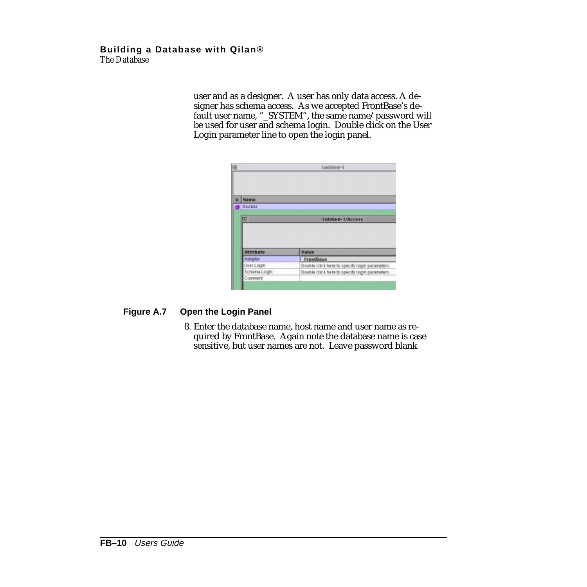user and as a designer. A user has only data access. A designer has schema access. As we accepted FrontBase's default user name, "\_SYSTEM", the same name/password will be used for user and schema login. Double click on the User Login parameter line to open the login panel.

|                           | Untitled-1                                                                                       |
|---------------------------|--------------------------------------------------------------------------------------------------|
|                           |                                                                                                  |
|                           |                                                                                                  |
| Name.                     |                                                                                                  |
|                           |                                                                                                  |
| Access                    |                                                                                                  |
|                           |                                                                                                  |
|                           |                                                                                                  |
| ▣                         | Untitled-1/Access                                                                                |
|                           |                                                                                                  |
|                           |                                                                                                  |
|                           |                                                                                                  |
| <b>Attribute</b>          | Value                                                                                            |
| Adaptor                   | <b>FrontBase</b>                                                                                 |
|                           |                                                                                                  |
| UserLogin<br>Schema Logie | Double click here to specify login parameters.<br>Double click here to specify login parameters. |

#### **Figure A.7 Open the Login Panel**

8. Enter the database name, host name and user name as required by FrontBase. Again note the database name is case sensitive, but user names are not. Leave password blank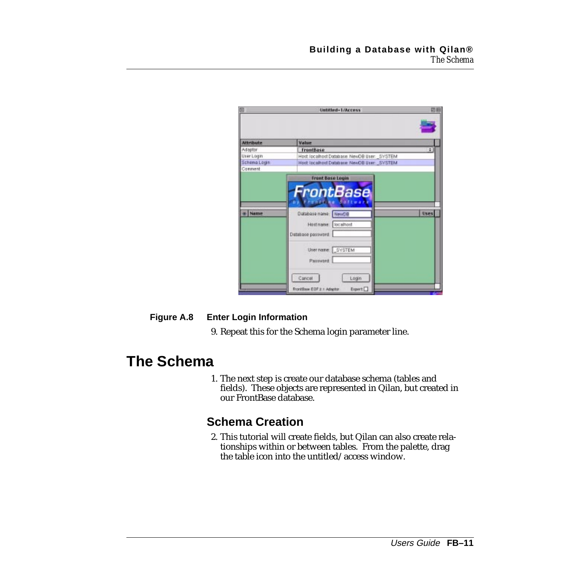<span id="page-10-0"></span>

| $\Box$           | Untitled-1/Access                                                                                               | 田田   |
|------------------|-----------------------------------------------------------------------------------------------------------------|------|
|                  |                                                                                                                 |      |
| <b>Attribute</b> | Value                                                                                                           |      |
| Adaptor          | FrontBase                                                                                                       | ٠    |
| User Login       | Host localhost Database. NewOB User: SVSTEM                                                                     |      |
| Schema Login     | Host localhost Database, NewOB User: SVSTEM                                                                     |      |
| Comment          |                                                                                                                 |      |
|                  | <b>Front Base Login</b>                                                                                         |      |
| Name             | <b>FrontBase</b><br><b>Ate Ballyard</b><br>Database name: NewDB<br>localhost<br>Hostname:<br>Database password. | Uses |
|                  | User name: SYSTEM<br>Password                                                                                   |      |
|                  | Cancel<br>Login<br>FrontBase EDF 2.1 Adaptor<br>Eight L                                                         |      |

#### **Figure A.8 Enter Login Information**

9. Repeat this for the Schema login parameter line.

## **The Schema**

1. The next step is create our database schema (tables and fields). These objects are represented in Qilan, but created in our FrontBase database.

## **Schema Creation**

2. This tutorial will create fields, but Qilan can also create relationships within or between tables. From the palette, drag the table icon into the untitled/access window.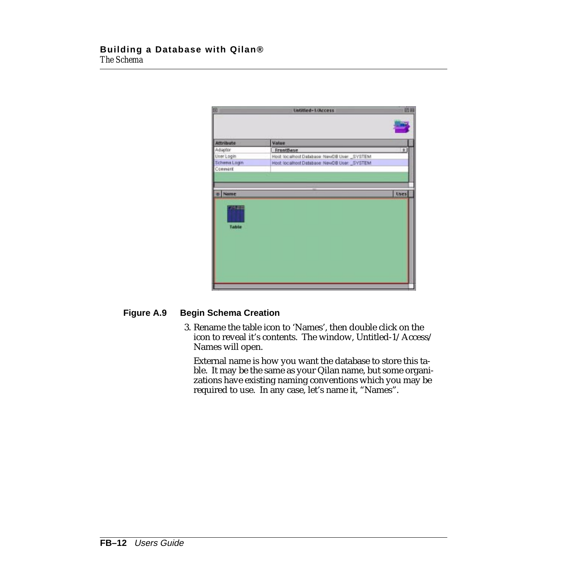| 回            | <b>Untitled-1/Access</b>                      | 田田   |
|--------------|-----------------------------------------------|------|
|              |                                               |      |
| Attribute    | <b>Value</b>                                  |      |
| Adaptor      | FrontBase                                     | l th |
| User Login   | Host: localhost Database: NewDB User: _SYSTEM |      |
| Schema Login | Host localhost Database: NewDB User: _SVSTEM  |      |
| Comment      |                                               |      |
|              |                                               |      |
|              |                                               |      |
| Name         |                                               | Uses |
|              |                                               |      |
|              |                                               |      |
|              |                                               |      |
|              |                                               |      |
| Table        |                                               |      |
|              |                                               |      |
|              |                                               |      |
|              |                                               |      |
|              |                                               |      |
|              |                                               |      |
|              |                                               |      |
|              |                                               |      |
|              |                                               |      |
|              |                                               |      |

#### **Figure A.9 Begin Schema Creation**

3. Rename the table icon to 'Names', then double click on the icon to reveal it's contents. The window, Untitled-1/Access/ Names will open.

External name is how you want the database to store this table. It may be the same as your Qilan name, but some organizations have existing naming conventions which you may be required to use. In any case, let's name it, "Names".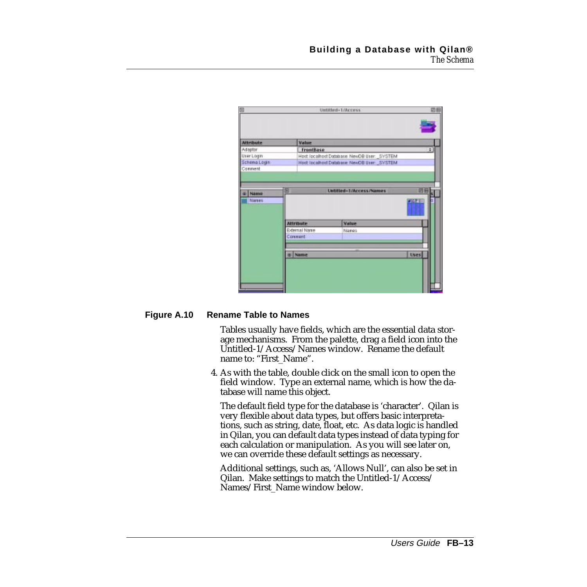| ▣                |                  | Untitled-1/Access                            | 四日                   |
|------------------|------------------|----------------------------------------------|----------------------|
|                  |                  |                                              |                      |
| <b>Attribute</b> | <b>Value</b>     |                                              |                      |
| Adaptor          | FrontBase        |                                              | $\ddot{\phantom{a}}$ |
| User Login       |                  | Host localhost Database: NewOB User: _SVSTEM |                      |
| Schema Login     |                  | Host localhost Database, NewOB User: SVSTEM  |                      |
| Comment          |                  |                                              |                      |
|                  |                  |                                              |                      |
|                  |                  |                                              |                      |
| Name             | ▣                | Untitled-1/Access/Names                      | 回目                   |
| Narses           |                  |                                              | $-1$                 |
|                  |                  |                                              |                      |
|                  |                  |                                              |                      |
|                  | <b>Attribute</b> | Value                                        |                      |
|                  | External Name    | Names                                        |                      |
|                  | Connert          |                                              |                      |
|                  |                  |                                              |                      |
|                  | o Name           |                                              | <b>Uses</b>          |
|                  |                  |                                              |                      |
|                  |                  |                                              |                      |
|                  |                  |                                              |                      |
|                  |                  |                                              |                      |
|                  |                  |                                              |                      |

#### **Figure A.10 Rename Table to Names**

Tables usually have fields, which are the essential data storage mechanisms. From the palette, drag a field icon into the Untitled-1/Access/Names window. Rename the default name to: "First\_Name".

4. As with the table, double click on the small icon to open the field window. Type an external name, which is how the database will name this object.

The default field type for the database is 'character'. Qilan is very flexible about data types, but offers basic interpretations, such as string, date, float, etc. As data logic is handled in Qilan, you can default data types instead of data typing for each calculation or manipulation. As you will see later on, we can override these default settings as necessary.

Additional settings, such as, 'Allows Null', can also be set in Qilan. Make settings to match the Untitled-1/Access/ Names/First\_Name window below.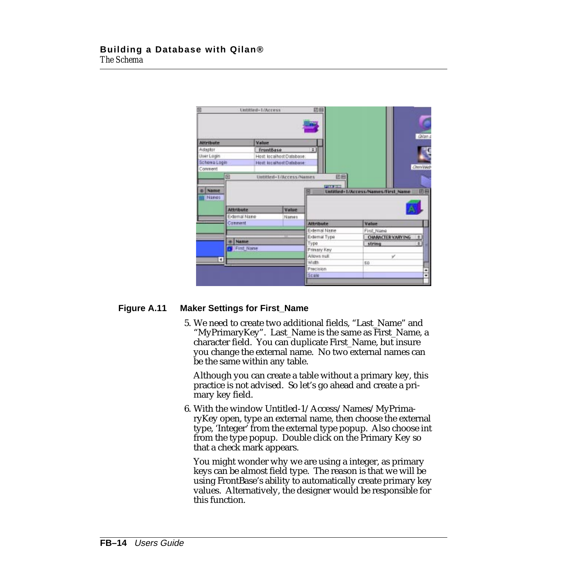| <b>Attribute</b>  |                  | <b>Value</b>             |       |                             |                                    | Ollan.a         |
|-------------------|------------------|--------------------------|-------|-----------------------------|------------------------------------|-----------------|
| Adaptor           |                  | <b>frantBase</b>         |       | $\vert$ : $\vert$           |                                    |                 |
| <b>User Login</b> |                  | Host localhost Database: |       |                             |                                    |                 |
| Schowa Login      |                  | Host localhost Distabase |       |                             |                                    |                 |
| Comment           |                  |                          |       |                             |                                    | <b>Chen/Web</b> |
|                   | $\boxed{1}$      | Untitled-1/Access/Names  |       | 凹目                          |                                    |                 |
|                   |                  |                          |       |                             |                                    |                 |
|                   |                  |                          |       |                             |                                    |                 |
|                   |                  |                          |       | PILLER                      |                                    |                 |
| Name              |                  |                          |       | ▣                           | Untitled-1/Access/Names/First_Name | 田目              |
| Names             |                  |                          |       |                             |                                    |                 |
|                   |                  |                          |       |                             |                                    |                 |
|                   | <b>Attribute</b> |                          | Value |                             |                                    |                 |
|                   | External Name    |                          | Names |                             |                                    |                 |
|                   | Comment          |                          |       | <b>Attribute</b>            | Value                              |                 |
|                   |                  |                          |       | External Name               | First Name                         |                 |
|                   |                  |                          |       | External Type               |                                    |                 |
|                   | <b>Name</b>      |                          |       |                             | <b>OBARACTER VARYING</b>           | ٠               |
|                   | First Name       |                          |       | Type                        | string                             |                 |
|                   |                  |                          |       | Prinary Key<br>Allows right | v                                  |                 |
|                   | q                |                          |       | Width                       |                                    |                 |
|                   |                  |                          |       | Precision                   | SD                                 |                 |

#### **Figure A.11 Maker Settings for First\_Name**

5. We need to create two additional fields, "Last\_Name" and "MyPrimaryKey". Last\_Name is the same as First\_Name, a character field. You can duplicate First\_Name, but insure you change the external name. No two external names can be the same within any table.

Although you can create a table without a primary key, this practice is not advised. So let's go ahead and create a primary key field.

6. With the window Untitled-1/Access/Names/MyPrimaryKey open, type an external name, then choose the external type, 'Integer' from the external type popup. Also choose int from the type popup. Double click on the Primary Key so that a check mark appears.

You might wonder why we are using a integer, as primary keys can be almost field type. The reason is that we will be using FrontBase's ability to automatically create primary key values. Alternatively, the designer would be responsible for this function.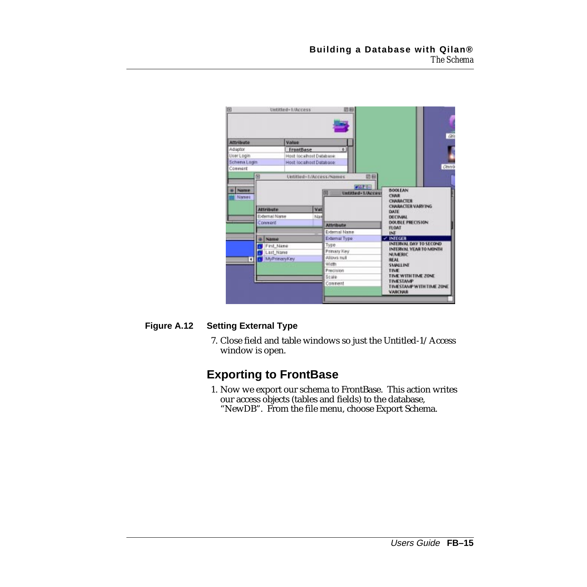<span id="page-14-0"></span>

| 回                    |                                              | Untitled-1/Access        | 訪目                 |                                                                                                       |
|----------------------|----------------------------------------------|--------------------------|--------------------|-------------------------------------------------------------------------------------------------------|
|                      |                                              |                          |                    |                                                                                                       |
| <b>Attribute</b>     |                                              | Value                    |                    |                                                                                                       |
| Adiaptor             |                                              | FrontDase                | $+1$               |                                                                                                       |
| User Login           |                                              | Host localhost Database  |                    |                                                                                                       |
| Schema Login         |                                              | Host localised Database: |                    |                                                                                                       |
| Comment              |                                              |                          |                    | Coval                                                                                                 |
|                      | 闽                                            | Untitled-1/Access/Names  |                    | 四日                                                                                                    |
|                      |                                              |                          | <b>PRIVE</b>       |                                                                                                       |
| Names                |                                              |                          | Untitled-1/Access  | <b>CHAR</b>                                                                                           |
|                      | <b>Attribute</b><br>External Name<br>Connerd | Val<br>Nav               | <b>Attribute</b>   | <b>CHARACTER</b><br><b>CHARACTER VARY ING</b><br>DATE<br><b>DECIMAL</b><br>DOUBLE PRECISION.<br>FLOAT |
|                      |                                              |                          | External Name      | INE                                                                                                   |
|                      | Name                                         |                          | External Type:     | $\sim$ INTEGER                                                                                        |
|                      | First Name                                   |                          | Type               | INTERVAL DAY TO SECOND                                                                                |
|                      | Last Name                                    |                          | Primary Key        | INTERVAL YEAR TO MONTH<br>NUMERIC                                                                     |
| $\overline{\bullet}$ | MyPrimaryKey                                 |                          | Allows real        | <b>REAL</b>                                                                                           |
|                      |                                              |                          | Width              | SMALLINE                                                                                              |
|                      |                                              |                          | Precision<br>Scale | TIME<br>TIME WITH TIME ZONE                                                                           |

#### **Figure A.12 Setting External Type**

7. Close field and table windows so just the Untitled-1/Access window is open.

## **Exporting to FrontBase**

1. Now we export our schema to FrontBase. This action writes our access objects (tables and fields) to the database, "NewDB". From the file menu, choose Export Schema.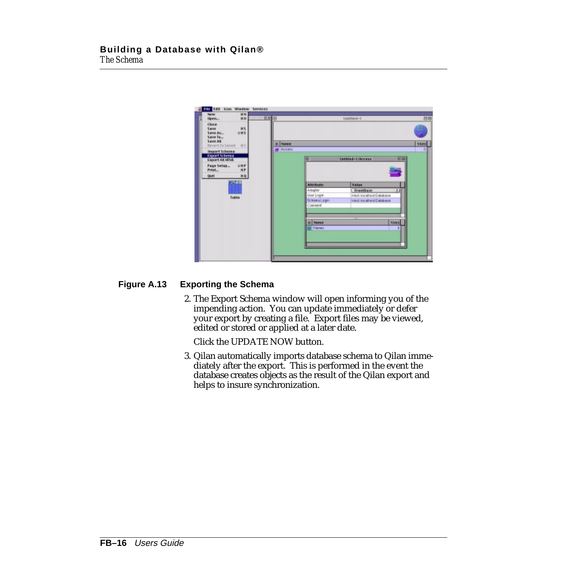

#### **Figure A.13 Exporting the Schema**

2. The Export Schema window will open informing you of the impending action. You can update immediately or defer your export by creating a file. Export files may be viewed, edited or stored or applied at a later date.

Click the UPDATE NOW button.

3. Qilan automatically imports database schema to Qilan immediately after the export. This is performed in the event the database creates objects as the result of the Qilan export and helps to insure synchronization.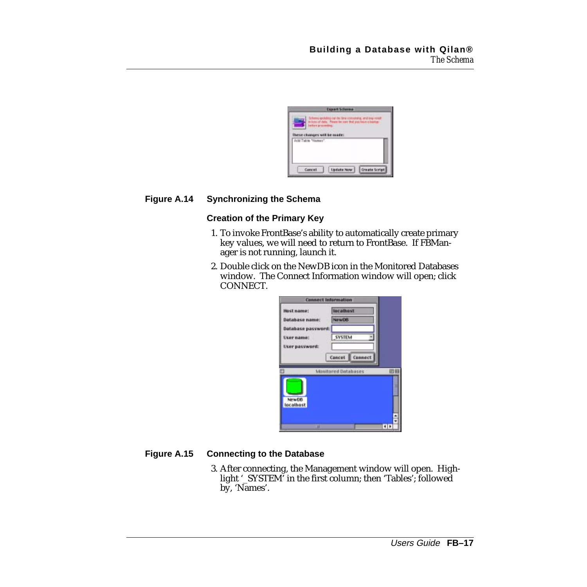

#### **Figure A.14 Synchronizing the Schema**

#### **Creation of the Primary Key**

- 1. To invoke FrontBase's ability to automatically create primary key values, we will need to return to FrontBase. If FBManager is not running, launch it.
- 2. Double click on the NewDB icon in the Monitored Databases window. The Connect Information window will open; click CONNECT.

|                       | <b>Connect Information</b> |   |
|-----------------------|----------------------------|---|
| Host name:            | <b>Izcathost</b>           |   |
| <b>Database name:</b> | <b>NewDS</b>               |   |
| Database password:    |                            |   |
| User name:            | <b>SYSTEM</b>              |   |
| User password:        |                            |   |
|                       | Cancel Connect             |   |
|                       |                            |   |
|                       | Manitored Databases        | 回 |
|                       |                            |   |
|                       |                            |   |
| New DB                |                            |   |
| localhost             |                            |   |
|                       |                            |   |
|                       |                            |   |

#### **Figure A.15 Connecting to the Database**

3. After connecting, the Management window will open. Highlight '\_SYSTEM' in the first column; then 'Tables'; followed by, 'Names'.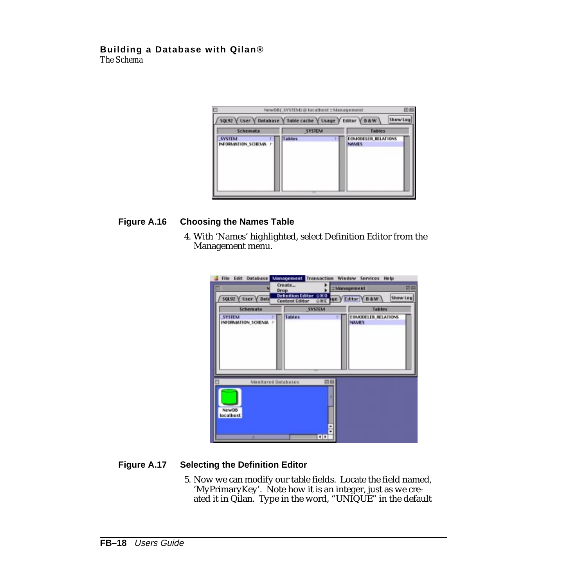| 50L92 V User V Database V Table cache V Usage V Editor V B & W | NewDB(_SYSTEM) @ localhost : Management | 凹目<br>Show Leg                              |
|----------------------------------------------------------------|-----------------------------------------|---------------------------------------------|
| Schemata                                                       | <b>SYSTEM</b>                           | <b>Tables</b>                               |
| <b>SYSTEM</b><br>INFORMATION_SCHEMA /                          | Tables                                  | <b>EGALODELER RELATIONS</b><br><b>NAMES</b> |

#### **Figure A.16 Choosing the Names Table**

4. With 'Names' highlighted, select Definition Editor from the Management menu.

| Drup<br>SQL92 V User V Data                    | Create.<br><b>Definition Editor OKO</b><br><b>Content Editor</b> | : Management<br><b>ORE OF YEditor YB&amp;W</b> | 日日<br><b>Show Log</b> |
|------------------------------------------------|------------------------------------------------------------------|------------------------------------------------|-----------------------|
| Schemata                                       | <b>SYSTEM</b>                                                    | <b>Tables</b>                                  |                       |
| <b>SYSTEM</b><br>INFORMATION SCHEMA /          | <b>Tables</b>                                                    | EOMODELER_RELATIONS<br><b>NAMES</b>            |                       |
| Monitored Databases<br>NewDB<br>localhost<br>۰ | 印刷<br>ш<br>ė<br>$\blacksquare$                                   |                                                |                       |

#### **Figure A.17 Selecting the Definition Editor**

5. Now we can modify our table fields. Locate the field named, 'MyPrimaryKey'. Note how it is an integer, just as we created it in Qilan. Type in the word, "UNIQUE" in the default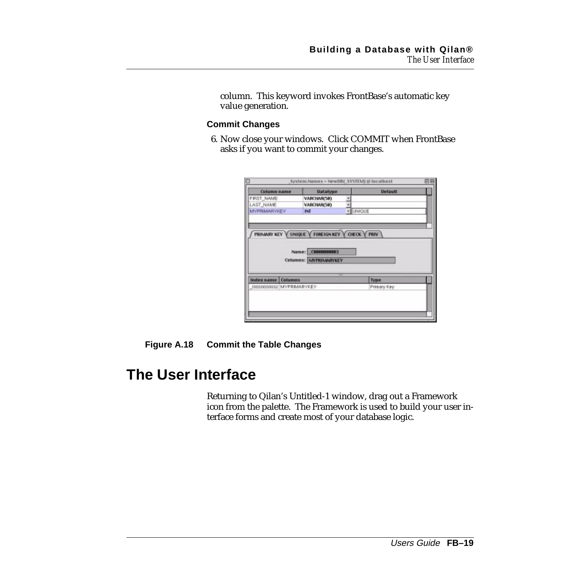<span id="page-18-0"></span>column. This keyword invokes FrontBase's automatic key value generation.

#### **Commit Changes**

6. Now close your windows. Click COMMIT when FrontBase asks if you want to commit your changes.

| Column name               | <b>Datatype</b> | <b>Default</b>                                                          |                                                                |
|---------------------------|-----------------|-------------------------------------------------------------------------|----------------------------------------------------------------|
|                           | VARCHARCED      |                                                                         |                                                                |
|                           |                 |                                                                         |                                                                |
| <b>MYPRIMARYKEY</b>       |                 |                                                                         |                                                                |
|                           |                 |                                                                         |                                                                |
| <b>Index name Columns</b> |                 | Type                                                                    |                                                                |
| J0000000002 MYPRMARYKEY   |                 | Primary Key                                                             |                                                                |
|                           |                 | <b>VARCHABICS®)</b><br>INT<br>Name: CHIERRIBET<br>Columns: MYPRIMARYKEY | · LINIGUE<br>PRIMARY KEY V UNIQUE V FOREIGN KEY V CHECK V PRIV |

#### **Figure A.18 Commit the Table Changes**

## **The User Interface**

Returning to Qilan's Untitled-1 window, drag out a Framework icon from the palette. The Framework is used to build your user interface forms and create most of your database logic.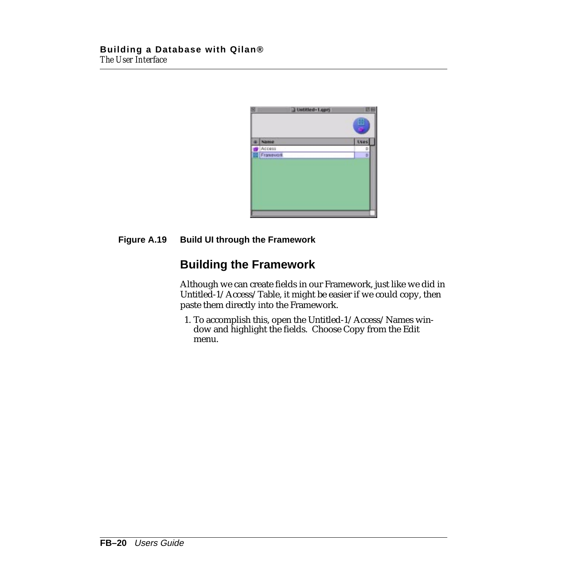<span id="page-19-0"></span>

| н | Untitled-Lope) | 四           |
|---|----------------|-------------|
|   |                | HH          |
|   | Name           | <b>Uses</b> |
|   | Access         | D           |
|   | Francescort    | D           |
|   |                |             |
|   |                |             |

#### **Figure A.19 Build UI through the Framework**

## **Building the Framework**

Although we can create fields in our Framework, just like we did in Untitled-1/Access/Table, it might be easier if we could copy, then paste them directly into the Framework.

1. To accomplish this, open the Untitled-1/Access/Names window and highlight the fields. Choose Copy from the Edit menu.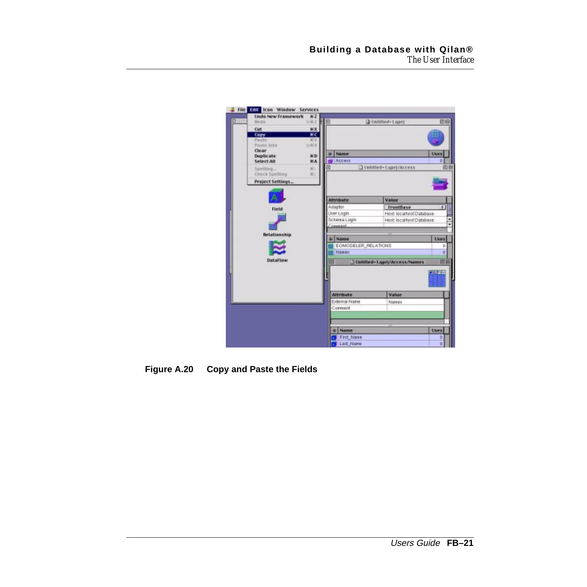| Undo New Framework<br><b>No do</b>             | 82<br>Q家2 单 国                  |                           | 4 Untitted-Lapri            | 田田                     |
|------------------------------------------------|--------------------------------|---------------------------|-----------------------------|------------------------|
| Cut<br>Copy<br>Paste<br>Paste Into:            | <b>MX</b><br>жc<br>30V<br>DKV. |                           |                             |                        |
| <b>Clear</b><br>Duplicate<br>Select All        | D.D.<br>M.A.                   | Name<br>Access            |                             | Uses<br>ũ              |
| Spelling<br>Check Spelling<br>Project Settings | $W$ :<br>W.                    | ▫                         | O Untitled-Lapri/Access     | 田田                     |
|                                                |                                | <b>Attribute</b>          | Value                       |                        |
| Field                                          |                                | Adaptor                   | FrantBase                   | $\left  \cdot \right $ |
|                                                |                                | User Login                | Host localhost Database:    |                        |
|                                                |                                | Schema Login              | Host localhost Database:    |                        |
|                                                |                                | Concess                   |                             |                        |
| <b>Relationship</b>                            |                                | Name                      |                             | <b>Uses</b>            |
|                                                |                                | EOMODELER_RELATIONS       |                             | D                      |
|                                                |                                | Names                     |                             | D.                     |
| <b>DataFlow</b>                                |                                | π                         | Untilled-Lapry/Access/Names | 回目                     |
|                                                |                                |                           |                             | - - -                  |
|                                                |                                | <b>Attribute</b>          | <b>Value</b>                |                        |
|                                                |                                | External Name             | Names                       |                        |
|                                                |                                | Comment                   |                             |                        |
|                                                |                                |                           |                             |                        |
|                                                |                                | <b>Name</b><br>First Name |                             | Uses                   |
|                                                |                                | List Name                 |                             | o<br>o                 |
|                                                |                                |                           |                             |                        |

**Figure A.20 Copy and Paste the Fields**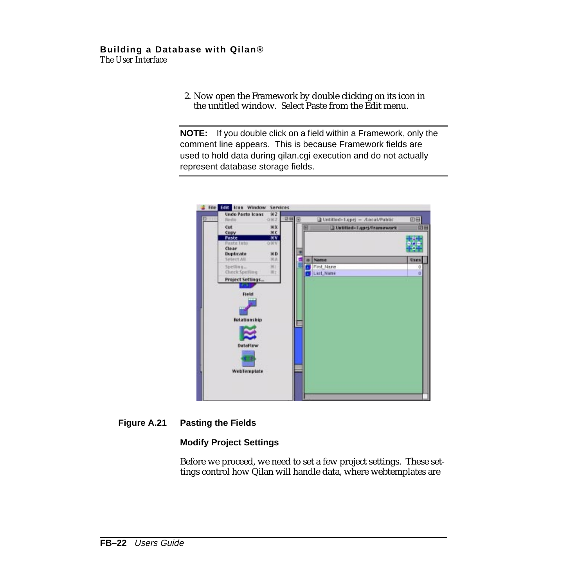2. Now open the Framework by double clicking on its icon in the untitled window. Select Paste from the Edit menu.

**NOTE:** If you double click on a field within a Framework, only the comment line appears. This is because Framework fields are used to hold data during qilan.cgi execution and do not actually represent database storage fields.



#### **Figure A.21 Pasting the Fields**

#### **Modify Project Settings**

Before we proceed, we need to set a few project settings. These settings control how Qilan will handle data, where webtemplates are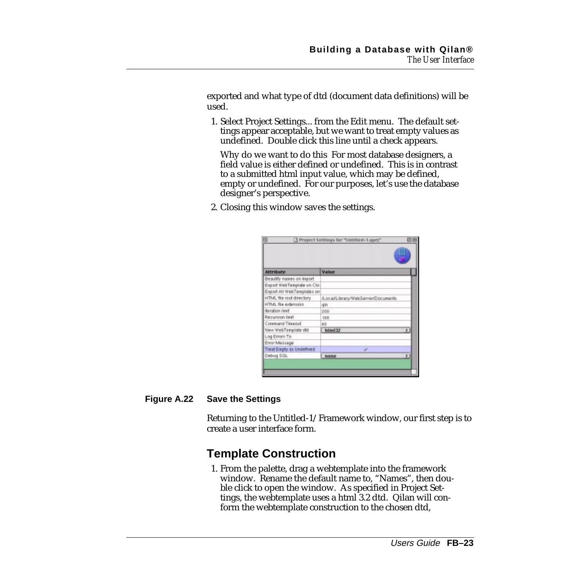<span id="page-22-0"></span>exported and what type of dtd (document data definitions) will be used.

1. Select Project Settings... from the Edit menu. The default settings appear acceptable, but we want to treat empty values as undefined. Double click this line until a check appears.

Why do we want to do this For most database designers, a field value is either defined or undefined. This is in contrast to a submitted html input value, which may be defined, empty or undefined. For our purposes, let's use the database designer's perspective.

2. Closing this window saves the settings.

| <b>Attribute</b>            | Value                              |
|-----------------------------|------------------------------------|
| Beautify names on import.   |                                    |
| Export WebTemplate on Clos  |                                    |
| Export All WebTereplates on |                                    |
| HTML file root directory    | /Local/Library/WebServer/Documents |
| HTML file sodension         | gin                                |
| <b>Beration limit</b>       | 200                                |
| Recursion limit             | 100                                |
| Command Timeout             | 68                                 |
| New WebTenplate ald         | html32<br>٠                        |
| Log Errors To               |                                    |
| Emar Message                |                                    |
| Treat Engly as Undefined    | v                                  |
| Debug SGL                   | ٠<br>none                          |

#### **Figure A.22 Save the Settings**

Returning to the Untitled-1/Framework window, our first step is to create a user interface form.

## **Template Construction**

1. From the palette, drag a webtemplate into the framework window. Rename the default name to, "Names", then double click to open the window. As specified in Project Settings, the webtemplate uses a html 3.2 dtd. Qilan will conform the webtemplate construction to the chosen dtd,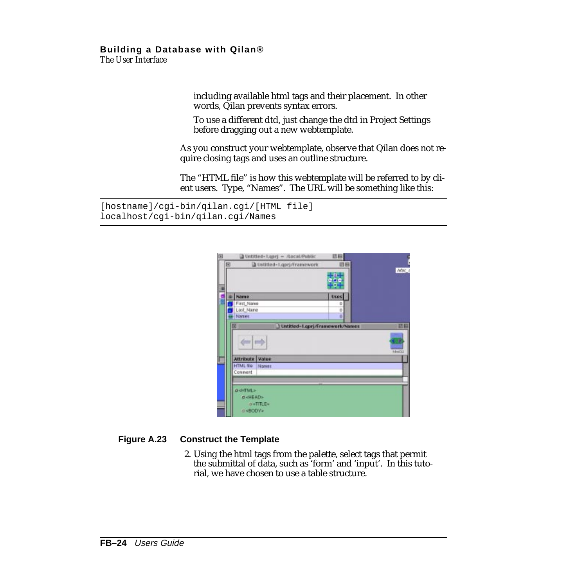including available html tags and their placement. In other words, Qilan prevents syntax errors.

To use a different dtd, just change the dtd in Project Settings before dragging out a new webtemplate.

As you construct your webtemplate, observe that Qilan does not require closing tags and uses an outline structure.

The "HTML file" is how this webtemplate will be referred to by client users. Type, "Names". The URL will be something like this:

```
[hostname]/cgi-bin/qilan.cgi/[HTML file]
localhost/cgi-bin/qilan.cgi/Names
```

| 回 | Untitled-Losej - Ascal/Public                                      | 凹回                    |              |
|---|--------------------------------------------------------------------|-----------------------|--------------|
| 回 | D Ustitled-1.gprj/Framework                                        | 道器<br><b>ALCOHOL:</b> | <b>Mac</b>   |
|   | Name<br>First_Name                                                 | o<br>Uses<br>٥        |              |
|   | Last_Name<br>Names.                                                | ö<br>٥                |              |
|   | 回<br>Untitled-Lapri/Framework/Names<br>mer   past                  |                       | 認回<br>hámi33 |
|   | Attribute<br>Value<br><b>HTML file</b><br>Nones<br>Cownent         |                       |              |
|   | $a$ -HTML><br><b>D-HEAD&gt;</b><br>$0$ <title><br/>D-BOOV»</title> |                       |              |

#### **Figure A.23 Construct the Template**

2. Using the html tags from the palette, select tags that permit the submittal of data, such as 'form' and 'input'. In this tutorial, we have chosen to use a table structure.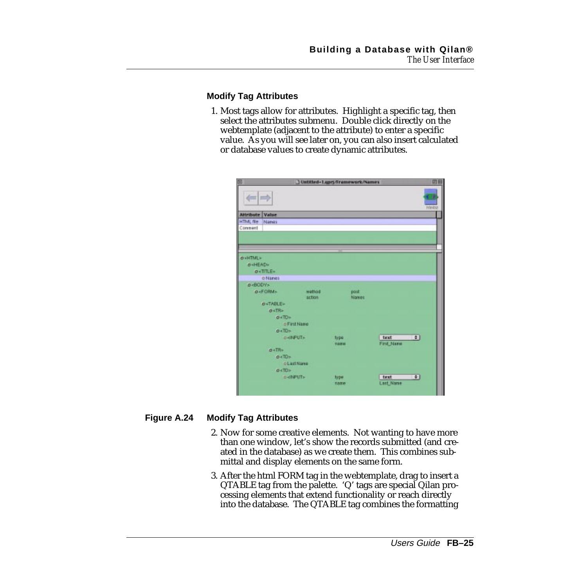#### **Modify Tag Attributes**

1. Most tags allow for attributes. Highlight a specific tag, then select the attributes submenu. Double click directly on the webtemplate (adjacent to the attribute) to enter a specific value. As you will see later on, you can also insert calculated or database values to create dynamic attributes.

| o                                    |                                                                              |        |              | J Untitled-Luprj/Framework/Names |                  | 田田                     |  |
|--------------------------------------|------------------------------------------------------------------------------|--------|--------------|----------------------------------|------------------|------------------------|--|
| $\equiv$ $\equiv$                    |                                                                              |        |              |                                  |                  | Intendog               |  |
| <b>Attribute Value</b>               |                                                                              |        |              |                                  |                  |                        |  |
| <b>HTML file</b><br>Names            |                                                                              |        |              |                                  |                  |                        |  |
| Comment                              |                                                                              |        |              |                                  |                  |                        |  |
|                                      |                                                                              |        |              |                                  |                  |                        |  |
|                                      |                                                                              |        |              |                                  |                  |                        |  |
|                                      |                                                                              |        |              |                                  |                  |                        |  |
| <b>O-HTML&gt;</b>                    |                                                                              |        |              |                                  |                  |                        |  |
| <b>D-HEAD-</b>                       |                                                                              |        |              |                                  |                  |                        |  |
| $O + \Pi \Pi.E +$                    |                                                                              |        |              |                                  |                  |                        |  |
| o Nanes                              |                                                                              |        |              |                                  |                  |                        |  |
| <b>B-BODY&gt;</b><br>o <form></form> |                                                                              | wettox |              |                                  |                  |                        |  |
|                                      |                                                                              | action |              | post:<br>Names                   |                  |                        |  |
| <b>D<table></table></b>              |                                                                              |        |              |                                  |                  |                        |  |
| $0$ <tr></tr>                        |                                                                              |        |              |                                  |                  |                        |  |
|                                      |                                                                              |        |              |                                  |                  |                        |  |
|                                      | $O \times 10$                                                                |        |              |                                  |                  |                        |  |
|                                      | o First Name                                                                 |        |              |                                  |                  |                        |  |
|                                      | $o$ <td <math="">\sim</td> <td></td> <td></td> <td></td> <td></td> <td></td> | \sim   |              |                                  |                  |                        |  |
|                                      | <b>BRINFUT+</b>                                                              |        | type         |                                  | text             | $ \div $               |  |
|                                      |                                                                              |        | <b>TIREM</b> |                                  | First Name       |                        |  |
| $0$ +TR+                             |                                                                              |        |              |                                  |                  |                        |  |
|                                      | 0.70                                                                         |        |              |                                  |                  |                        |  |
|                                      | <b>OLastName</b>                                                             |        |              |                                  |                  |                        |  |
|                                      | $0<$ TD>                                                                     |        |              |                                  |                  |                        |  |
|                                      | d-dMPUT>                                                                     |        | type         |                                  | text             | $\left  \cdot \right $ |  |
|                                      |                                                                              |        | name         |                                  | <b>Last_Name</b> |                        |  |

#### **Figure A.24 Modify Tag Attributes**

- 2. Now for some creative elements. Not wanting to have more than one window, let's show the records submitted (and created in the database) as we create them. This combines submittal and display elements on the same form.
- 3. After the html FORM tag in the webtemplate, drag to insert a QTABLE tag from the palette. 'Q' tags are special Qilan processing elements that extend functionality or reach directly into the database. The QTABLE tag combines the formatting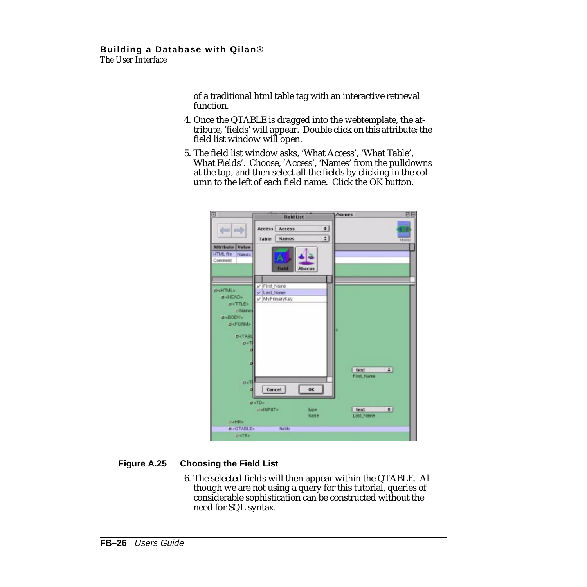of a traditional html table tag with an interactive retrieval function.

- 4. Once the QTABLE is dragged into the webtemplate, the attribute, 'fields' will appear. Double click on this attribute; the field list window will open.
- 5. The field list window asks, 'What Access', 'What Table', What Fields'. Choose, 'Access', 'Names' from the pulldowns at the top, and then select all the fields by clicking in the column to the left of each field name. Click the OK button.

| 同                                                                                                                                                                                                     | <b>Field List</b>                                                                  | <b>Mames</b>                          | 日日                        |  |
|-------------------------------------------------------------------------------------------------------------------------------------------------------------------------------------------------------|------------------------------------------------------------------------------------|---------------------------------------|---------------------------|--|
| m i mob                                                                                                                                                                                               | Access<br>Access<br>Table<br><b>Names</b>                                          | ø<br>¢)                               | <b>FANESS</b>             |  |
| Value<br><b>Attribute</b><br><b>HTML file</b><br>Nanes<br>Comment                                                                                                                                     | <b>Thefat</b><br><b>Ahacus</b>                                                     |                                       |                           |  |
| <b>O-SHTML&gt;</b><br><b>D</b> <head><br/><math>o</math>-TITLE»<br/><b>D'Names</b><br/><b>B-BODY&gt;</b><br/><b>O-FORM&gt;</b><br/><b>D<tabl< b=""><br/><math>0&lt;</math>TI<br/>d</tabl<></b></head> | v First Name<br>y Last Name<br>v MyPrimaryKey                                      |                                       |                           |  |
| d<br>$0 - T$<br>ø                                                                                                                                                                                     | Cancel<br>OK.<br><b>D</b> <td></td> <td>÷1<br/>text<br/>First Niane</td> <td></td> |                                       | ÷1<br>text<br>First Niane |  |
| <b>D</b> <hr/>                                                                                                                                                                                        | d-dNPUT><br>type<br>name                                                           | $\bullet$<br>text<br><b>Last Name</b> |                           |  |
| O <gtable></gtable>                                                                                                                                                                                   | fields.                                                                            |                                       |                           |  |
| <b>DKTR&gt;</b>                                                                                                                                                                                       |                                                                                    |                                       |                           |  |

#### **Figure A.25 Choosing the Field List**

6. The selected fields will then appear within the QTABLE. Although we are not using a query for this tutorial, queries of considerable sophistication can be constructed without the need for SQL syntax.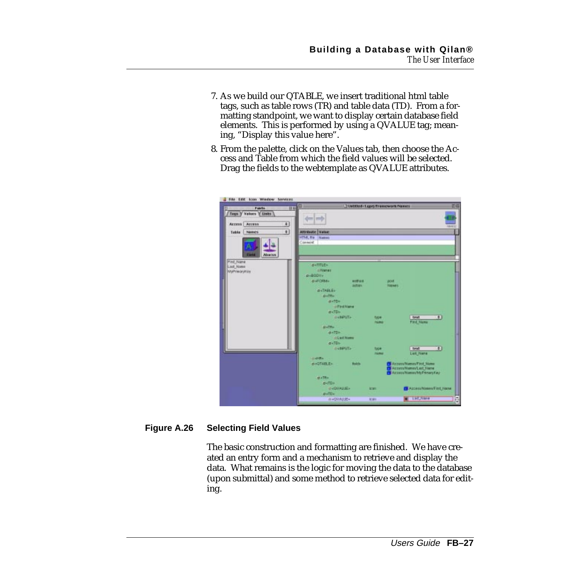- 7. As we build our QTABLE, we insert traditional html table tags, such as table rows (TR) and table data (TD). From a formatting standpoint, we want to display certain database field elements. This is performed by using a QVALUE tag; meaning, "Display this value here".
- 8. From the palette, click on the Values tab, then choose the Access and Table from which the field values will be selected. Drag the fields to the webtemplate as QVALUE attributes.

| <b>Fidelin</b>         | TUNEDed-Lapy/Promovers/Names<br>囧<br>訪解                           | 回日                          |
|------------------------|-------------------------------------------------------------------|-----------------------------|
| Tegn y Values Y Links  |                                                                   |                             |
|                        |                                                                   |                             |
| Access Access          | 회                                                                 | sterd L                     |
| <b>Name:</b><br>Toble  | $\overline{\mathbf{a}}$<br><b>ATTFENDING</b><br><b>Value</b>      |                             |
|                        | HTM, Ba<br>Namez                                                  |                             |
|                        | Commert                                                           |                             |
|                        |                                                                   |                             |
| Eleka<br><b>ЛОВЕКИ</b> |                                                                   |                             |
| <b>Pied, Name</b>      |                                                                   |                             |
| Last Name              | petme-                                                            |                             |
| <b>MalPrimaryMder</b>  | ci Finanzio                                                       |                             |
|                        | a-20DV-                                                           |                             |
|                        | <b>GUICES</b><br><b>MARVEL</b><br>DOM:<br><b>NALWEL</b><br>asteri |                             |
|                        | $0 - 74616$                                                       |                             |
|                        | <b>ByTRe</b>                                                      |                             |
|                        | m=TD+                                                             |                             |
|                        | U First Frame                                                     |                             |
|                        | $a - TD -$                                                        |                             |
|                        | <b>DABPUT-</b><br>type                                            | $\blacksquare$<br>tiest     |
|                        | ricana<br><b>ALLITTIC</b>                                         | First Manu                  |
|                        | <b>BATTIS</b>                                                     |                             |
|                        | <b>OLNITHUM</b>                                                   |                             |
|                        | $a$ -TDs                                                          |                             |
|                        | <b>DANNITA</b><br>type                                            | $\bullet$<br>next           |
|                        | <b>TOURING</b>                                                    | <b>Levi frame</b>           |
|                        | distribution.<br><b>BACTABLES</b><br><b>Bakts</b>                 | ActualVenesTist News        |
|                        |                                                                   | Accom/Names/Last Name       |
|                        |                                                                   | Accompliance My Photography |
|                        | <b>HATR</b>                                                       |                             |
|                        | $p$ <td+< td=""><td></td></td+<>                                  |                             |
|                        | <b>CHOVALUE&gt;</b><br><b>ACSIT</b><br>$D \times \Pi D$           | Access/Hasses/First Nane    |
|                        | <b>IN HOWALD BY</b><br><b>Millers</b>                             | ē<br>List_Name              |
|                        |                                                                   |                             |

#### **Figure A.26 Selecting Field Values**

The basic construction and formatting are finished. We have created an entry form and a mechanism to retrieve and display the data. What remains is the logic for moving the data to the database (upon submittal) and some method to retrieve selected data for editing.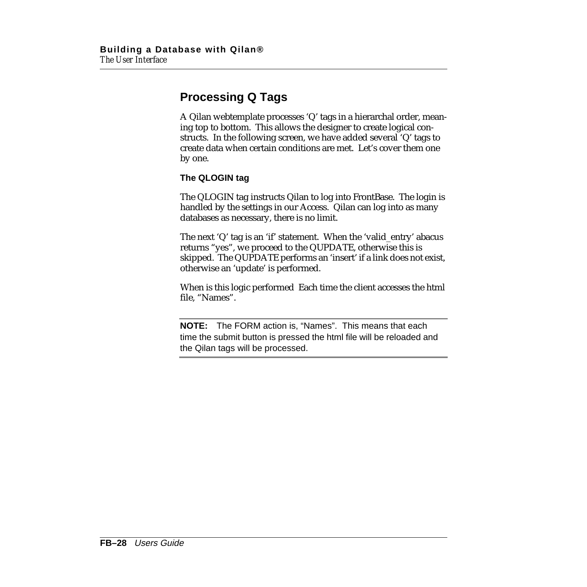## <span id="page-27-0"></span>**Processing Q Tags**

A Qilan webtemplate processes 'Q' tags in a hierarchal order, meaning top to bottom. This allows the designer to create logical constructs. In the following screen, we have added several 'Q' tags to create data when certain conditions are met. Let's cover them one by one.

#### **The QLOGIN tag**

The QLOGIN tag instructs Qilan to log into FrontBase. The login is handled by the settings in our Access. Qilan can log into as many databases as necessary, there is no limit.

The next 'Q' tag is an 'if' statement. When the 'valid\_entry' abacus returns "yes", we proceed to the QUPDATE, otherwise this is skipped. The QUPDATE performs an 'insert' if a link does not exist, otherwise an 'update' is performed.

When is this logic performed Each time the client accesses the html file, "Names".

**NOTE:** The FORM action is, "Names". This means that each time the submit button is pressed the html file will be reloaded and the Qilan tags will be processed.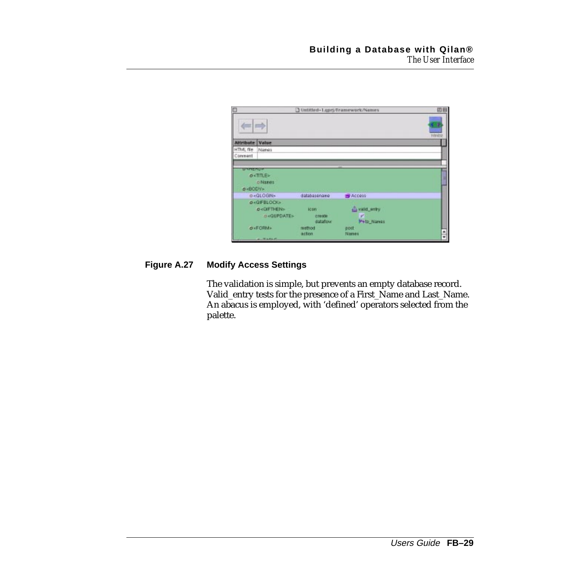| D                                      |                                                                           |                                    | J Untitled-Lipri/Framework/Names          | 凹目              |
|----------------------------------------|---------------------------------------------------------------------------|------------------------------------|-------------------------------------------|-----------------|
| $\left\langle m\right  m\right\rangle$ |                                                                           |                                    |                                           | <b>Istratog</b> |
| <b>Attribute Value</b>                 |                                                                           |                                    |                                           |                 |
| HTML file<br>Comment                   | Names                                                                     |                                    |                                           |                 |
| <b>BRANCHES</b><br>B+BODY»             | <b>OKTITLE&gt;</b><br>o Names                                             |                                    |                                           |                 |
|                                        | o <qlogin></qlogin>                                                       | databasenawe                       | <b>B</b> Access                           |                 |
|                                        | <b><i>OKOFBLOCKS</i></b><br><b><i><b>O-GIFTHENS</b></i></b><br>DRQUPDATE> | <b>ICDT</b><br>crease<br>distation | disvalid entry<br>V.<br><b>Peto Names</b> |                 |
|                                        | <b>OKFORMA</b><br>$-$ TABLE                                               | method<br>action                   | gost.<br>Names                            | ۰<br>₽          |

#### **Figure A.27 Modify Access Settings**

The validation is simple, but prevents an empty database record. Valid\_entry tests for the presence of a First\_Name and Last\_Name. An abacus is employed, with 'defined' operators selected from the palette.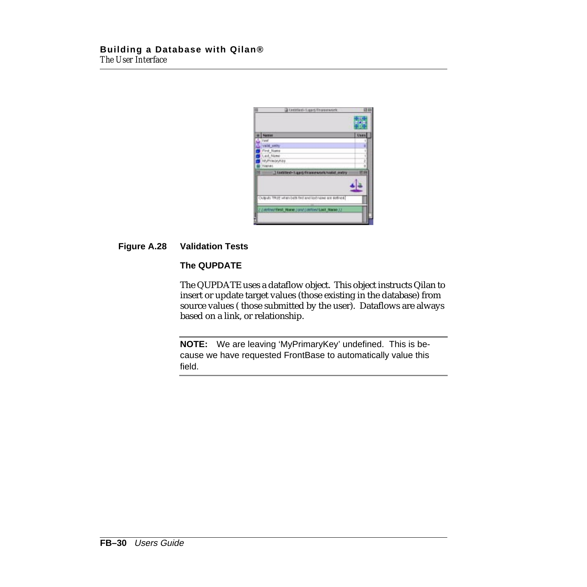| в | Untitled-Ligard/Troneswork                                         | 四    |
|---|--------------------------------------------------------------------|------|
|   |                                                                    |      |
|   | <b>Name</b>                                                        | Uses |
|   | <b>Tasf</b>                                                        | 1    |
|   | <b>Valid entry</b>                                                 |      |
|   | <b>First Name</b>                                                  |      |
|   | Last_Name                                                          |      |
|   | MyPrimleyKite                                                      |      |
|   | <b>TUBERAL</b>                                                     |      |
| Е | 1 tastated-1 quoi drame work/vakit_entry                           |      |
|   |                                                                    |      |
|   |                                                                    |      |
|   | A bondo a telephone but their abod realized a serious about 2006/2 |      |
|   |                                                                    |      |
|   | ( / AUTOSTRAT Hanne ) and ( autost Last Name 1)                    |      |
|   |                                                                    |      |
|   |                                                                    |      |

#### **Figure A.28 Validation Tests**

#### **The QUPDATE**

The QUPDATE uses a dataflow object. This object instructs Qilan to insert or update target values (those existing in the database) from source values ( those submitted by the user). Dataflows are always based on a link, or relationship.

**NOTE:** We are leaving 'MyPrimaryKey' undefined. This is because we have requested FrontBase to automatically value this field.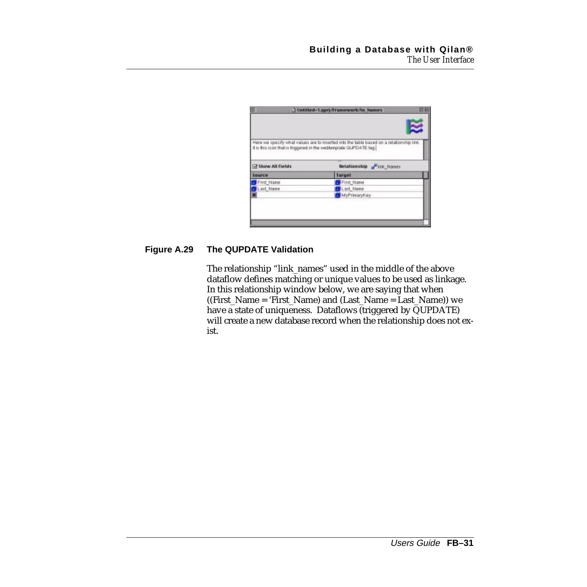|                     | It is this icon that is triggered in the webtenplate GUPDATE tag |
|---------------------|------------------------------------------------------------------|
| Show All Fields     | <b>Netationship of Irk Nones</b>                                 |
|                     | Target                                                           |
|                     |                                                                  |
| First Name          | First Name                                                       |
| Sparce<br>Lart Name | Last_Name                                                        |

#### **Figure A.29 The QUPDATE Validation**

The relationship "link\_names" used in the middle of the above dataflow defines matching or unique values to be used as linkage. In this relationship window below, we are saying that when  $((First_Name = 'First_Name)$  and  $(Last_Name = Last_Name))$  we have a state of uniqueness. Dataflows (triggered by QUPDATE) will create a new database record when the relationship does not exist.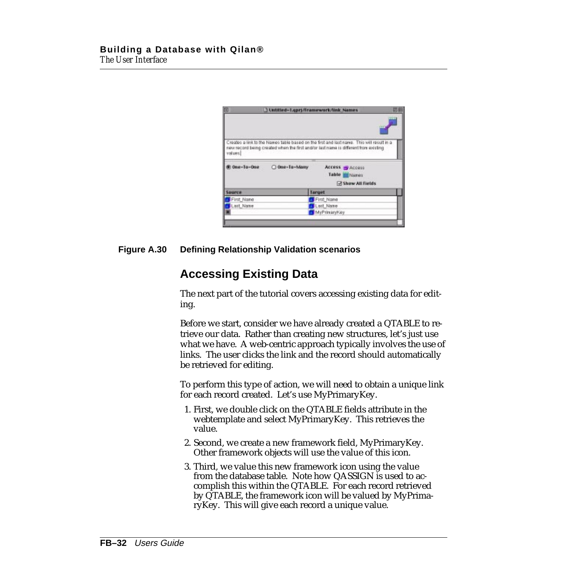<span id="page-31-0"></span>

| E             |               | Untitled-Lapri/Tramework/link Names                                                                                                                                              |
|---------------|---------------|----------------------------------------------------------------------------------------------------------------------------------------------------------------------------------|
| values)       |               | Creates a link to the Names table based on the first and last name. This will result in a<br>new record being created when the first and/or last name is different from existing |
| One-Ta-One    | O One-Te-Many | Access - Access<br>Table Manes<br>Show All fields                                                                                                                                |
| <b>Source</b> |               | <b>Target</b>                                                                                                                                                                    |
| First Name    |               | First Name                                                                                                                                                                       |
|               |               |                                                                                                                                                                                  |
| Lart Name     |               | Last Name                                                                                                                                                                        |

#### **Figure A.30 Defining Relationship Validation scenarios**

## **Accessing Existing Data**

The next part of the tutorial covers accessing existing data for editing.

Before we start, consider we have already created a QTABLE to retrieve our data. Rather than creating new structures, let's just use what we have. A web-centric approach typically involves the use of links. The user clicks the link and the record should automatically be retrieved for editing.

To perform this type of action, we will need to obtain a unique link for each record created. Let's use MyPrimaryKey.

- 1. First, we double click on the QTABLE fields attribute in the webtemplate and select MyPrimaryKey. This retrieves the value.
- 2. Second, we create a new framework field, MyPrimaryKey. Other framework objects will use the value of this icon.
- 3. Third, we value this new framework icon using the value from the database table. Note how QASSIGN is used to accomplish this within the QTABLE. For each record retrieved by QTABLE, the framework icon will be valued by MyPrimaryKey. This will give each record a unique value.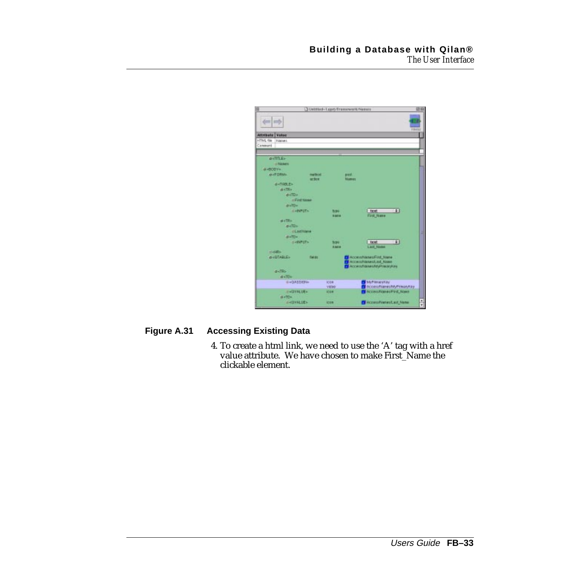|                                          |                  | O Untitled-T.com/Framework/Names | 四股                              |
|------------------------------------------|------------------|----------------------------------|---------------------------------|
| 11 E                                     |                  |                                  |                                 |
|                                          |                  |                                  | <b>Printing</b>                 |
| <b>Attribute</b><br><b>Wakaz</b>         |                  |                                  |                                 |
| HTML file<br><b>Triaine L</b><br>Comment |                  |                                  |                                 |
|                                          |                  |                                  |                                 |
| $0 - \frac{\pi}{2}$                      |                  |                                  |                                 |
| <b>UTELANTS</b>                          |                  |                                  |                                 |
| diaBOO're.                               |                  |                                  |                                 |
| <b>D-FORM</b>                            | nethot.          | <b>BITE</b>                      |                                 |
|                                          | actor            |                                  | <b>Numers</b>                   |
| distinct.Es                              |                  |                                  |                                 |
| <b>d</b> -Obs                            |                  |                                  |                                 |
| $D < \Pi$                                |                  |                                  |                                 |
|                                          | <b>CFIRENIAN</b> |                                  |                                 |
| <b>BuTD</b> =                            |                  |                                  |                                 |
| <b>SHOPLES</b>                           |                  | <b>NPE</b><br>3 8 7 8            | 141<br>test.<br>First Name      |
| <b>Diffilio</b>                          |                  |                                  |                                 |
| <b>DKTD+</b>                             |                  |                                  |                                 |
|                                          | <b>GLSittgas</b> |                                  |                                 |
| staff)»                                  |                  |                                  |                                 |
| <b>OVERFUTS</b>                          |                  | first.                           | $\left  \cdot \right $<br>test  |
| <b>History</b>                           |                  | <b>RAILE</b>                     | <b>Last Name</b>                |
| <b>OHOTABLE-</b>                         | fields           |                                  | Accessiblenes/First trailer     |
|                                          |                  |                                  | Accessiblaneon.ast Name         |
| d-TR-                                    |                  |                                  | Access/Manauto/pPlastryKes      |
| $a = 70$                                 |                  |                                  |                                 |
| E = 0.43330Fox                           |                  | <b>ICIDE</b>                     | My Hinduishy                    |
|                                          |                  | value                            | Accessitianes/MyPhisoyhip       |
| <b>HASTERLIEN</b>                        |                  | <b>ECIDIB</b>                    | Accountmented Nans              |
| <b>BATTER</b>                            |                  |                                  |                                 |
| <b>CHEVRLIE&gt;</b>                      |                  | <b>ICON</b>                      | <b>C</b> Accessivement.ast Name |

#### **Figure A.31 Accessing Existing Data**

4. To create a html link, we need to use the 'A' tag with a href value attribute. We have chosen to make First\_Name the clickable element.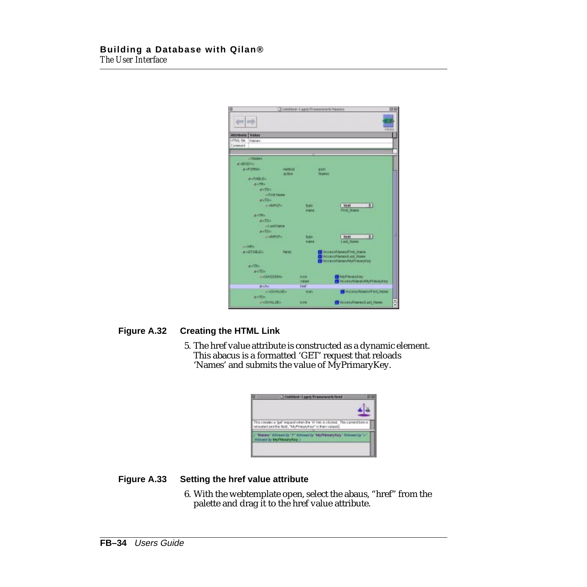|                        |                        |                          |                 | O Untitled-T.cor)/Transcenerk/Names                  | 四田 |
|------------------------|------------------------|--------------------------|-----------------|------------------------------------------------------|----|
|                        | m                      |                          |                 | <b>Hotel</b>                                         |    |
| <b>Attribute Value</b> |                        |                          |                 |                                                      |    |
| »ITML file             | Frisine L.             |                          |                 |                                                      |    |
| Cenmant                |                        |                          |                 |                                                      |    |
|                        |                        |                          |                 |                                                      |    |
|                        | $-344044$              |                          |                 |                                                      |    |
| d-BODYs                |                        |                          |                 |                                                      |    |
|                        | <b>O-FORM</b>          | <b>Holten</b><br>action. |                 | $B=0.01$<br>Númers                                   |    |
|                        | <b><i>BATABLEA</i></b> |                          |                 |                                                      |    |
|                        | $H = 2Hn$              |                          |                 |                                                      |    |
|                        | <b>DYTES</b>           |                          |                 |                                                      |    |
|                        |                        | of First Name            |                 |                                                      |    |
|                        | p.m.                   |                          |                 |                                                      |    |
|                        |                        | <b>HARPUTH</b>           | <b>NH</b>       | T#<br><b>Text</b>                                    |    |
|                        |                        |                          | <b>Rank</b>     | Find: Name                                           |    |
|                        | <b>BATTEL</b>          |                          |                 |                                                      |    |
|                        | picTDs.                |                          |                 |                                                      |    |
|                        |                        | <b>GLastriana</b>        |                 |                                                      |    |
|                        | $B \times \text{TD}$   |                          |                 |                                                      |    |
|                        |                        | <b>SARPUTH</b>           | <b>NPF</b>      | $\left  \frac{1}{2} \right $<br><b>Text</b>          | ٠  |
|                        |                        |                          | <b>R SOFA</b>   | <b>Last Name</b>                                     |    |
|                        | <b>Distilla</b>        |                          |                 |                                                      |    |
|                        | <b>DISTABLES</b>       | fields.                  |                 | Accessive and First Hame<br>Accessivatement art Name |    |
|                        |                        |                          |                 | Accessiblenes/MyPrissalyties                         |    |
|                        | <b>OKTRY</b>           |                          |                 |                                                      |    |
|                        | $0 - 306$              |                          |                 |                                                      |    |
|                        | <b>INGLASSION</b>      |                          | 1004            | <b>MuPamarsKey</b>                                   |    |
|                        |                        |                          | <b>Vielasti</b> | <b>Accessitamecha/Frasaykau</b>                      |    |
|                        | おくえい                   |                          | <b>THIST</b>    |                                                      |    |
|                        |                        | <b>II</b> ACAVALLINE     | <b>KLIMA</b>    | Access taneouf att_tane                              |    |
|                        | 0.4754                 |                          |                 |                                                      |    |
|                        | <b>SHOWALLEY</b>       |                          | <b>ICON</b>     | <b>Cil Accessitiones/Last Alane</b>                  | ÷  |
|                        |                        |                          |                 |                                                      |    |

#### **Figure A.32 Creating the HTML Link**

5. The href value attribute is constructed as a dynamic element. This abacus is a formatted 'GET' request that reloads 'Names' and submits the value of MyPrimaryKey.

| 1 Unittied-Lapri/Transmesrk/bref                                                                                                         |
|------------------------------------------------------------------------------------------------------------------------------------------|
|                                                                                                                                          |
| This creates a 'gef' request when the W link is clicked. The carrent form is<br>reloaded and the field, "My Primary Kee" is then valued. |
| "Hannes" Entread by "1" Asknowd by "MyPhhoanyHary" Asknowd by "~"<br>bibeid by MyPhranyKey J.                                            |
|                                                                                                                                          |

#### **Figure A.33 Setting the href value attribute**

6. With the webtemplate open, select the abaus, "href" from the palette and drag it to the href value attribute.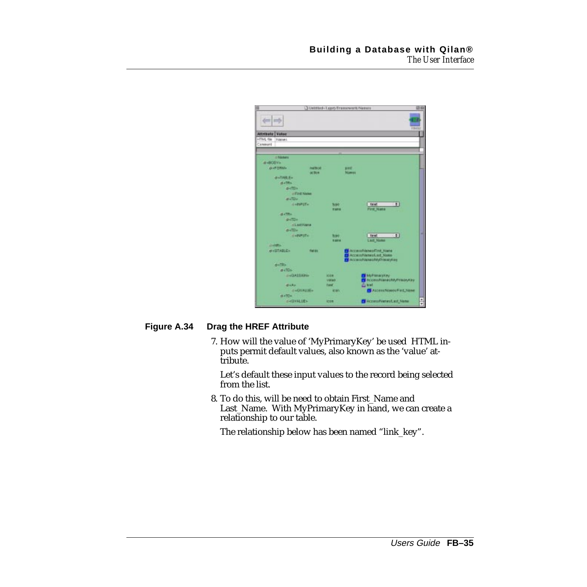|                    |                                                                      |                                        |                             | O Untitled-T.com/Framework/Names                                                     |                                                   | 四股            |  |
|--------------------|----------------------------------------------------------------------|----------------------------------------|-----------------------------|--------------------------------------------------------------------------------------|---------------------------------------------------|---------------|--|
| 11 H               |                                                                      |                                        |                             |                                                                                      | <b>Printing</b>                                   |               |  |
| <b>Attribute</b>   | <b>Wekse</b>                                                         |                                        |                             |                                                                                      |                                                   |               |  |
| <b>INTML: file</b> | Trianet.                                                             |                                        |                             |                                                                                      |                                                   |               |  |
| Cenmant            |                                                                      |                                        |                             |                                                                                      |                                                   |               |  |
|                    |                                                                      |                                        |                             |                                                                                      |                                                   |               |  |
|                    | $-344044$                                                            |                                        |                             |                                                                                      |                                                   |               |  |
| d-BODYs            |                                                                      |                                        |                             |                                                                                      |                                                   |               |  |
|                    | <b>O-FORM</b>                                                        | <b><i><u>halbod</u></i></b><br>action. |                             | post:<br>Númer                                                                       |                                                   |               |  |
|                    | disTARLE»                                                            |                                        |                             |                                                                                      |                                                   |               |  |
|                    | $d = 28n$                                                            |                                        |                             |                                                                                      |                                                   |               |  |
|                    | <b>D</b> <td></td> <td></td> <td></td> <td></td> <td></td> <td></td> |                                        |                             |                                                                                      |                                                   |               |  |
|                    |                                                                      | of First Name                          |                             |                                                                                      |                                                   |               |  |
|                    | <b>Difful</b>                                                        |                                        |                             |                                                                                      |                                                   |               |  |
|                    | <b>HABSPOTH</b>                                                      |                                        | <b>NBO</b>                  | <b>Text</b>                                                                          | 1:1                                               |               |  |
|                    |                                                                      |                                        | <b>Rams</b>                 |                                                                                      | First Hame                                        |               |  |
|                    | <b>BATTEL</b>                                                        |                                        |                             |                                                                                      |                                                   |               |  |
|                    | picTDs.                                                              |                                        |                             |                                                                                      |                                                   |               |  |
|                    | $B \times \overline{111} =$                                          | diastrume                              |                             |                                                                                      |                                                   |               |  |
|                    | SARPUTH                                                              |                                        |                             | <b>Text</b>                                                                          | $\left  \frac{1}{2} \right $                      | ٠             |  |
|                    |                                                                      |                                        | <b>NPF</b><br><b>R SOFA</b> |                                                                                      | <b>Last Name</b>                                  |               |  |
|                    | <b>LEWERED</b>                                                       |                                        |                             |                                                                                      |                                                   |               |  |
|                    | <b>DISTABLES</b>                                                     | field1                                 |                             | Access/Nanes/First Hane<br>Accessiv-lenwol.ast Name<br>Accessible world (Prinsiplian |                                                   |               |  |
|                    | <b>OKTRY</b>                                                         |                                        |                             |                                                                                      |                                                   |               |  |
|                    | $0 - 306$                                                            |                                        |                             |                                                                                      |                                                   |               |  |
|                    | <b>UNDERWAY</b>                                                      |                                        | 1004<br>Väljalt             |                                                                                      | <b>Multiplaceter</b><br>Accessitianauto/Frasaylay |               |  |
|                    | がんえい                                                                 |                                        | Tust.                       | di test                                                                              |                                                   |               |  |
|                    |                                                                      | <b>IDACAVALLES</b>                     | <b>MINT</b>                 |                                                                                      | Access Names Fort Mane                            |               |  |
|                    | 0.4754                                                               |                                        |                             |                                                                                      |                                                   |               |  |
|                    | <b>SHIPPER</b>                                                       |                                        | <b>ICON</b>                 |                                                                                      | <b>C</b> Accessivement.ast Name                   | $\frac{1}{2}$ |  |

#### **Figure A.34 Drag the HREF Attribute**

7. How will the value of 'MyPrimaryKey' be used HTML inputs permit default values, also known as the 'value' attribute.

Let's default these input values to the record being selected from the list.

8. To do this, will be need to obtain First\_Name and Last\_Name. With MyPrimaryKey in hand, we can create a relationship to our table.

The relationship below has been named "link\_key".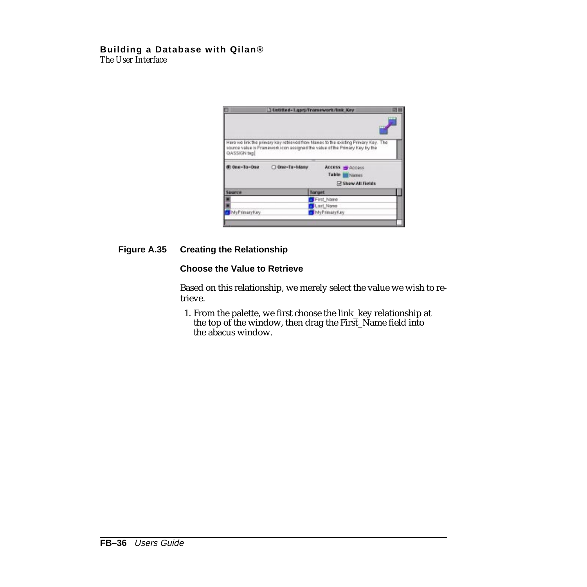|              |               | J Untitled-Lupry/Framework/link Key                                                                                                                               | 田田 |
|--------------|---------------|-------------------------------------------------------------------------------------------------------------------------------------------------------------------|----|
|              |               |                                                                                                                                                                   |    |
| QASSIGN tag. |               | Here we link the primary key retrieved from Names to the existing Primary Key. The<br>source value is Franswork icon assigned the value of the Primary Key by the |    |
| Cne-Ta-One   | O One-To-Many | Access & Access<br>Table <b>Manes</b><br><b>Show All Fields</b>                                                                                                   |    |
| Source       |               | <b>Target</b>                                                                                                                                                     |    |
|              |               | First Name                                                                                                                                                        |    |
|              |               | <b>Lart Name</b>                                                                                                                                                  |    |
| MyPrimaryKey |               | MyPrimaryKey                                                                                                                                                      |    |
|              |               |                                                                                                                                                                   |    |
|              |               |                                                                                                                                                                   |    |

#### **Figure A.35 Creating the Relationship**

#### **Choose the Value to Retrieve**

Based on this relationship, we merely select the value we wish to retrieve.

1. From the palette, we first choose the link\_key relationship at the top of the window, then drag the First\_Name field into the abacus window.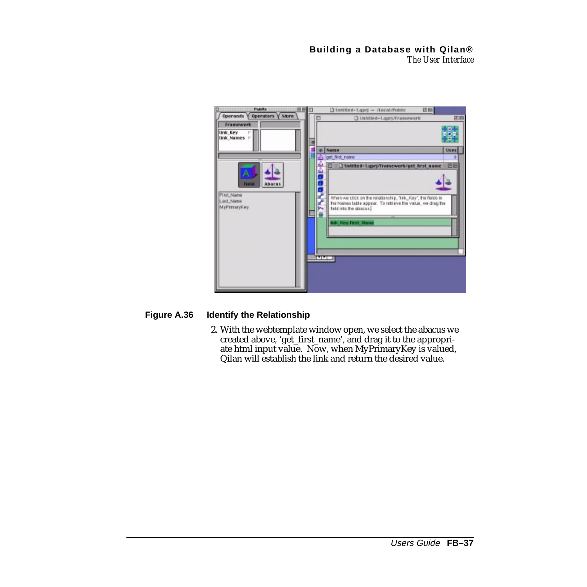

#### **Figure A.36 Identify the Relationship**

2. With the webtemplate window open, we select the abacus we created above, 'get\_first\_name', and drag it to the appropriate html input value. Now, when MyPrimaryKey is valued, Qilan will establish the link and return the desired value.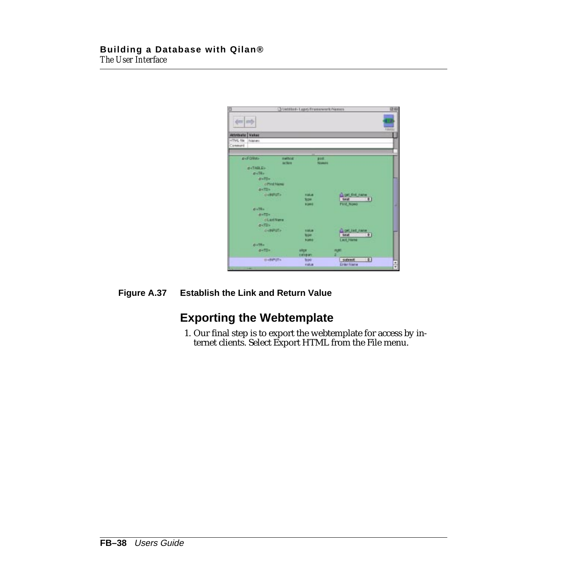<span id="page-37-0"></span>

| ö                                               |                        | Statistics-Lupri/Freemwork/Newers |                |                        | 認識            |
|-------------------------------------------------|------------------------|-----------------------------------|----------------|------------------------|---------------|
| an mp                                           |                        |                                   |                |                        | <b>Type</b>   |
| <b>Attribute   Value</b>                        |                        |                                   |                |                        |               |
| <b>INTML file</b><br><b>Triaines</b><br>Cenment |                        |                                   |                |                        |               |
|                                                 |                        |                                   |                |                        |               |
| <b>D-FORM&gt;</b>                               | method<br><b>ACTOR</b> |                                   | post.<br>Names |                        |               |
| <b>OKTABLES</b>                                 |                        |                                   |                |                        |               |
| $0 - 34 -$                                      |                        |                                   |                |                        |               |
| distDs.                                         | <b>SOUTH</b>           |                                   |                |                        |               |
|                                                 | <b>dPhil Name</b>      |                                   |                |                        |               |
| <b>BKTDV</b>                                    |                        |                                   |                |                        |               |
|                                                 | <b>OVERSTA</b>         | <b>Rakue</b>                      |                | Li cet that name       |               |
|                                                 |                        | 3024                              |                | $\blacksquare$<br>1sxt |               |
|                                                 |                        | <b>Nime</b>                       |                | <b>Pirit Nimo</b>      |               |
| $a = 10$                                        |                        |                                   |                |                        |               |
| <b>BATD</b>                                     |                        |                                   |                |                        |               |
|                                                 | <b>olaritions</b>      |                                   |                |                        |               |
| <b>DKTD+</b>                                    | <b>GABRITA</b>         |                                   |                | April strate           |               |
|                                                 |                        | <b>HARAH</b><br>tope.             |                |                        |               |
|                                                 |                        | <b>Nume</b>                       |                | <b>Last_Name</b>       |               |
| $0.179 -$                                       |                        |                                   |                |                        |               |
| giaTD»                                          |                        | alice:                            |                |                        |               |
|                                                 |                        | calipari                          |                |                        |               |
|                                                 | <b>HARPITY</b>         | <b>Supply</b>                     |                | 141<br>subreat!        |               |
|                                                 |                        | 开启用                               |                | <b>Grass Ivana</b>     | $\frac{1}{x}$ |

#### **Figure A.37 Establish the Link and Return Value**

## **Exporting the Webtemplate**

1. Our final step is to export the webtemplate for access by internet clients. Select Export HTML from the File menu.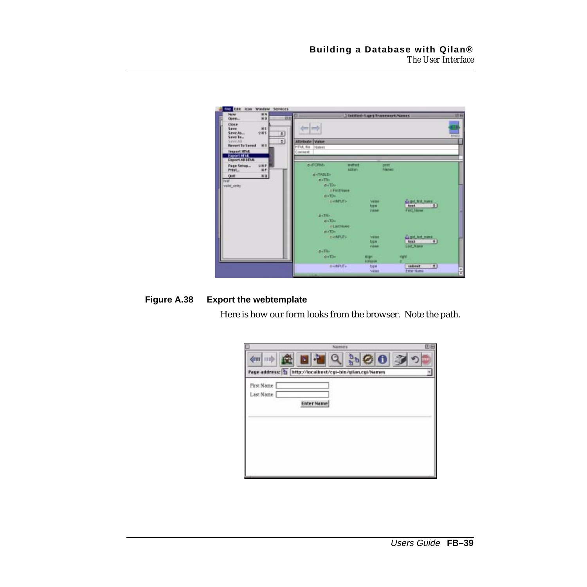| <b>ILE Edit Icon Window Services</b><br>副解<br>New<br><b>MO</b><br>Open                                                                                                                  | Unitted-Laptiframework/Names<br>訪新                                                                                                                                                                                                                                                       | 田田              |
|-----------------------------------------------------------------------------------------------------------------------------------------------------------------------------------------|------------------------------------------------------------------------------------------------------------------------------------------------------------------------------------------------------------------------------------------------------------------------------------------|-----------------|
| <b>Clous-</b><br><b>MS</b><br>Save<br>Đ<br>Save As<br>空洞节<br>Save To<br>$\overline{\mathbf{r}}$<br>Seve All<br><b>Revert To Seved</b><br><b>BU</b><br><b>Import HTML</b><br>Export HIVE | den I med-<br><b>Attribute Value</b><br>HTM, fla.<br>Names<br>Top had at                                                                                                                                                                                                                 | <b>Contract</b> |
| Export All HTML<br><b>GRP</b><br><b>Page Setua</b><br><b>MP</b><br>Frist <sub>-</sub><br>WO.<br>Oult<br><b>Caraf</b><br>yello janiv                                                     | o-d'Ollida<br>method<br>post<br>aztan<br>Pulamers<br><b>MATABLES</b><br><b>DATRS</b><br>$a + 70 +$<br><b>AFRICARD</b><br>si «TD».<br>civiliary 175<br>Co pet first name<br><b>Value</b><br>$-41$<br>type<br>text<br>Fett name<br><b>TIBAGE</b><br>pi-TR»<br>$d$ +111+<br><b>GLECHING</b> |                 |
|                                                                                                                                                                                         | maTDs.<br><b>DRAFTS</b><br>the put last name.<br><b>Value</b><br>text<br>$-141$<br>type<br>Lout Home<br><b>Villed</b><br>$D = TH$<br>$d = 11n$<br>right<br><b>MIGHT</b><br>KORGOGH<br><b>DistiPUTe</b><br>$\left( n\right)$<br><b>SERVET</b><br>type<br>Exter Nume<br>veles              | 믋               |

### **Figure A.38 Export the webtemplate**

Here is how our form looks from the browser. Note the path.

| c                              | Naiman s.                                                  | 비는 |
|--------------------------------|------------------------------------------------------------|----|
| dent in th                     | Page address: 1   http://localhost/cgi-bin/gilan.cgi/Names |    |
| <b>Pirst Name</b><br>Last Name | <b>Enter Name</b>                                          |    |
|                                |                                                            |    |
|                                |                                                            |    |
|                                |                                                            |    |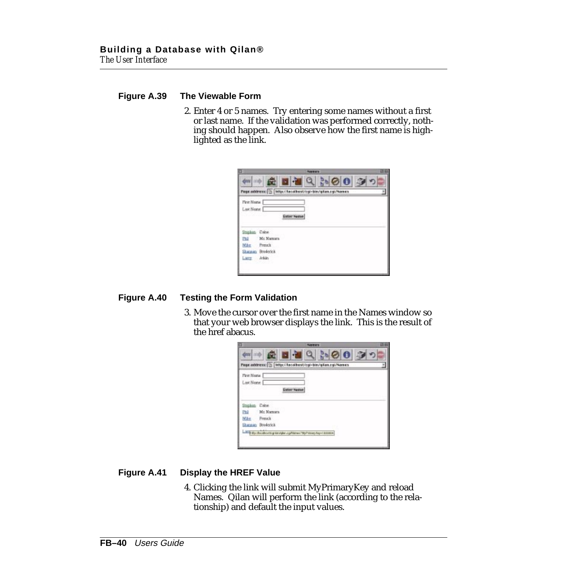#### **Figure A.39 The Viewable Form**

2. Enter 4 or 5 names. Try entering some names without a first or last name. If the validation was performed correctly, nothing should happen. Also observe how the first name is highlighted as the link.

| G.<br>Page address: [3] Witp://lacalbost/cgi-bin/gilan.cgi/Names<br>Enter Name | 3000 |  |  |
|--------------------------------------------------------------------------------|------|--|--|
|                                                                                |      |  |  |
|                                                                                |      |  |  |
| Mr. Namara                                                                     |      |  |  |
| Sharanan Brederick                                                             |      |  |  |
|                                                                                |      |  |  |

#### **Figure A.40 Testing the Form Validation**

3. Move the cursor over the first name in the Names window so that your web browser displays the link. This is the result of the href abacus.



#### **Figure A.41 Display the HREF Value**

4. Clicking the link will submit MyPrimaryKey and reload Names. Qilan will perform the link (according to the relationship) and default the input values.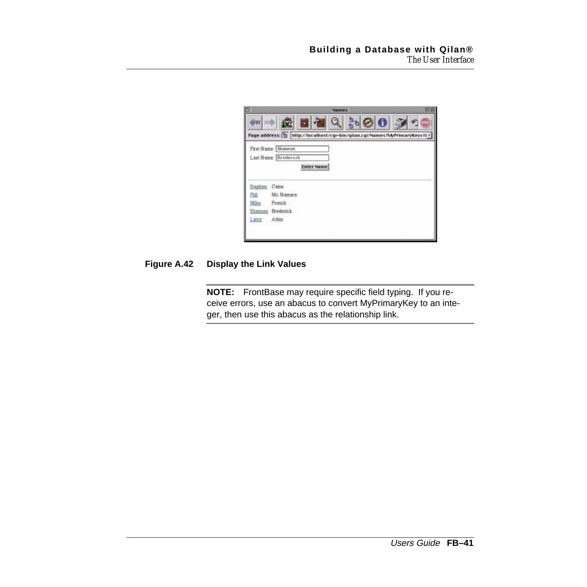|              | 田田<br>Namars.                                                                   |
|--------------|---------------------------------------------------------------------------------|
| dent into    | G<br>Page address: 1 http://localhost/cgi-bin/gilan.cgi/Names?MyPrimaryKey=1i = |
|              | First Name Shannon                                                              |
|              | Last Name Broderick                                                             |
|              | <b>Enter Name</b>                                                               |
| Stephen.     | Caine                                                                           |
| Phil<br>Mike | Mc Namara<br>French                                                             |
|              |                                                                                 |
| Shannon      | <b>Broderick</b>                                                                |

#### **Figure A.42 Display the Link Values**

**NOTE:** FrontBase may require specific field typing. If you receive errors, use an abacus to convert MyPrimaryKey to an integer, then use this abacus as the relationship link.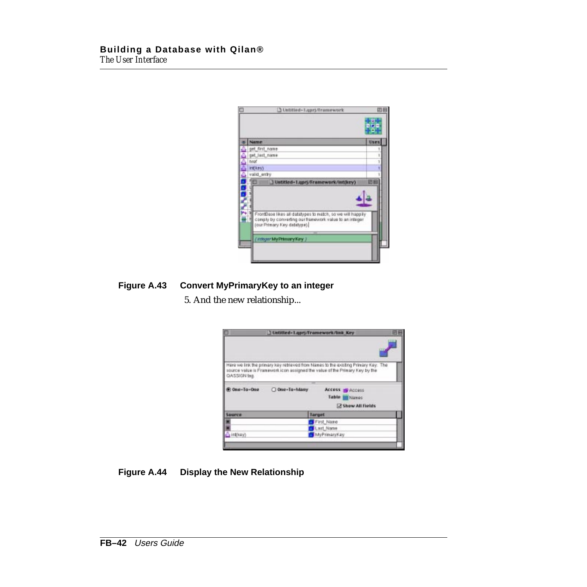| 1 Untitled-Lupri/Tramework                                                                                           |      |
|----------------------------------------------------------------------------------------------------------------------|------|
| Name                                                                                                                 | Uses |
| get first name                                                                                                       |      |
| get_last_name                                                                                                        |      |
| brof                                                                                                                 |      |
| int(key)                                                                                                             |      |
| valid_entry<br>D Untitled-1.uprj/Framework/Int(key)                                                                  |      |
| FrontBase likes all datatypes to match, so we will happily<br>comply by converting our framework value to an integer |      |
| (our Primary Key databge).                                                                                           |      |
| (Integer My Primary Key )                                                                                            |      |

#### **Figure A.43 Convert MyPrimaryKey to an integer**

5. And the new relationship...

| D                   |               | J Untitled-Lupry/Framework/link Key                                                                                                                               | ▣ |
|---------------------|---------------|-------------------------------------------------------------------------------------------------------------------------------------------------------------------|---|
| <b>QASSIGN tag.</b> |               | Here we link the primary losy retrieved from Names to the socking Primary Key. The<br>source value is Franswork icon assigned the value of the Primary Key by the |   |
|                     |               |                                                                                                                                                                   |   |
| One-Ta-One          | O One-To-Many | Access & Access                                                                                                                                                   |   |
|                     |               | Table Maries                                                                                                                                                      |   |
|                     |               | Show All Fields                                                                                                                                                   |   |
| Source              |               | <b>Target</b>                                                                                                                                                     |   |
|                     |               | First Name                                                                                                                                                        |   |
|                     |               | <b>Uart Name</b>                                                                                                                                                  |   |
| $-$ inthesy)        |               | MyPrimaryKey                                                                                                                                                      |   |
|                     |               |                                                                                                                                                                   |   |
|                     |               |                                                                                                                                                                   |   |

## **Figure A.44 Display the New Relationship**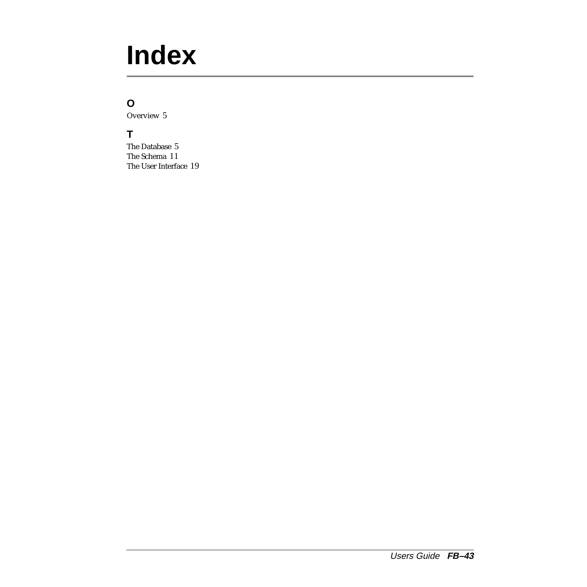# <span id="page-42-0"></span>**Index**

## **O**

Overview [5](#page-4-0)

## **T**

The Database [5](#page-4-0) The Schema [11](#page-10-0) The User Interface [19](#page-18-0)